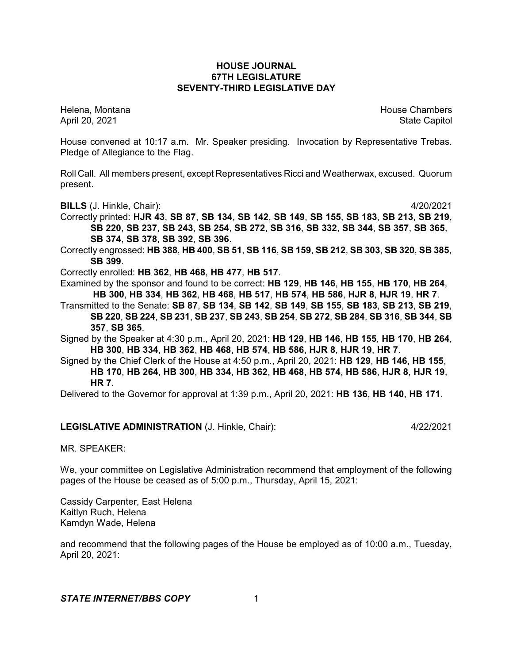## **HOUSE JOURNAL 67TH LEGISLATURE SEVENTY-THIRD LEGISLATIVE DAY**

Helena, Montana House Chambers Chambers Chambers and House Chambers Chambers Chambers Chambers Chambers Chambers Chambers Chambers Chambers Chambers Chambers Chambers Chambers Chambers Chambers Chambers Chambers Chambers C April 20, 2021 State Capitol

House convened at 10:17 a.m. Mr. Speaker presiding. Invocation by Representative Trebas. Pledge of Allegiance to the Flag.

Roll Call. All members present, except Representatives Ricci and Weatherwax, excused. Quorum present.

**BILLS** (J. Hinkle, Chair): 4/20/2021

Correctly printed: **HJR 43**, **SB 87**, **SB 134**, **SB 142**, **SB 149**, **SB 155**, **SB 183**, **SB 213**, **SB 219**, **SB 220**, **SB 237**, **SB 243**, **SB 254**, **SB 272**, **SB 316**, **SB 332**, **SB 344**, **SB 357**, **SB 365**, **SB 374**, **SB 378**, **SB 392**, **SB 396**.

Correctly engrossed: **HB 388**, **HB 400**, **SB 51**, **SB 116**, **SB 159**, **SB 212**, **SB 303**, **SB 320**, **SB 385**, **SB 399**.

Correctly enrolled: **HB 362**, **HB 468**, **HB 477**, **HB 517**.

Examined by the sponsor and found to be correct: **HB 129**, **HB 146**, **HB 155**, **HB 170**, **HB 264**, **HB 300**, **HB 334**, **HB 362**, **HB 468**, **HB 517**, **HB 574**, **HB 586**, **HJR 8**, **HJR 19**, **HR 7**.

Transmitted to the Senate: **SB 87**, **SB 134**, **SB 142**, **SB 149**, **SB 155**, **SB 183**, **SB 213**, **SB 219**, SB 220, SB 224, SB 231, SB 237, SB 243, SB 254, SB 272, SB 284, SB 316, SB 344, SB **357**, **SB 365**.

Signed by the Speaker at 4:30 p.m., April 20, 2021: **HB 129**, **HB 146**, **HB 155**, **HB 170**, **HB 264**, **HB 300**, **HB 334**, **HB 362**, **HB 468**, **HB 574**, **HB 586**, **HJR 8**, **HJR 19**, **HR 7**.

Signed by the Chief Clerk of the House at 4:50 p.m., April 20, 2021: **HB 129**, **HB 146**, **HB 155**, **HB 170**, **HB 264**, **HB 300**, **HB 334**, **HB 362**, **HB 468**, **HB 574**, **HB 586**, **HJR 8**, **HJR 19**, **HR 7**.

Delivered to the Governor for approval at 1:39 p.m., April 20, 2021: **HB 136**, **HB 140**, **HB 171**.

## **LEGISLATIVE ADMINISTRATION** (J. Hinkle, Chair): 4/22/2021

MR. SPEAKER:

We, your committee on Legislative Administration recommend that employment of the following pages of the House be ceased as of 5:00 p.m., Thursday, April 15, 2021:

Cassidy Carpenter, East Helena Kaitlyn Ruch, Helena Kamdyn Wade, Helena

and recommend that the following pages of the House be employed as of 10:00 a.m., Tuesday, April 20, 2021: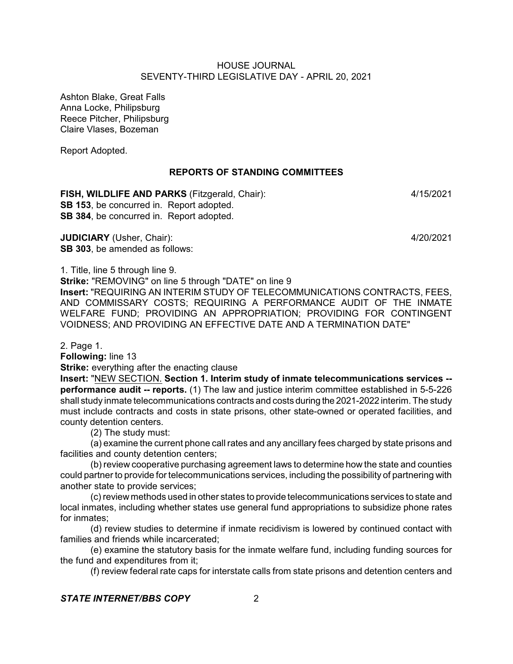Ashton Blake, Great Falls Anna Locke, Philipsburg Reece Pitcher, Philipsburg Claire Vlases, Bozeman

Report Adopted.

## **REPORTS OF STANDING COMMITTEES**

**FISH, WILDLIFE AND PARKS** (Fitzgerald, Chair): 4/15/2021 **SB 153**, be concurred in. Report adopted. **SB 384**, be concurred in. Report adopted.

**JUDICIARY** (Usher, Chair): 4/20/2021 **SB 303**, be amended as follows:

1. Title, line 5 through line 9.

**Strike:** "REMOVING" on line 5 through "DATE" on line 9

**Insert:** "REQUIRING AN INTERIM STUDY OF TELECOMMUNICATIONS CONTRACTS, FEES, AND COMMISSARY COSTS; REQUIRING A PERFORMANCE AUDIT OF THE INMATE WELFARE FUND; PROVIDING AN APPROPRIATION; PROVIDING FOR CONTINGENT VOIDNESS; AND PROVIDING AN EFFECTIVE DATE AND A TERMINATION DATE"

2. Page 1.

**Following:** line 13

**Strike:** everything after the enacting clause

**Insert:** "NEW SECTION. **Section 1. Interim study of inmate telecommunications services - performance audit -- reports.** (1) The law and justice interim committee established in 5-5-226 shall study inmate telecommunications contracts and costs during the 2021-2022 interim. The study must include contracts and costs in state prisons, other state-owned or operated facilities, and county detention centers.

(2) The study must:

(a) examine the current phone call rates and any ancillary fees charged by state prisons and facilities and county detention centers;

(b) review cooperative purchasing agreement laws to determine how the state and counties could partner to provide for telecommunications services, including the possibility of partnering with another state to provide services;

(c) review methods used in other states to provide telecommunications services to state and local inmates, including whether states use general fund appropriations to subsidize phone rates for inmates;

(d) review studies to determine if inmate recidivism is lowered by continued contact with families and friends while incarcerated;

(e) examine the statutory basis for the inmate welfare fund, including funding sources for the fund and expenditures from it;

(f) review federal rate caps for interstate calls from state prisons and detention centers and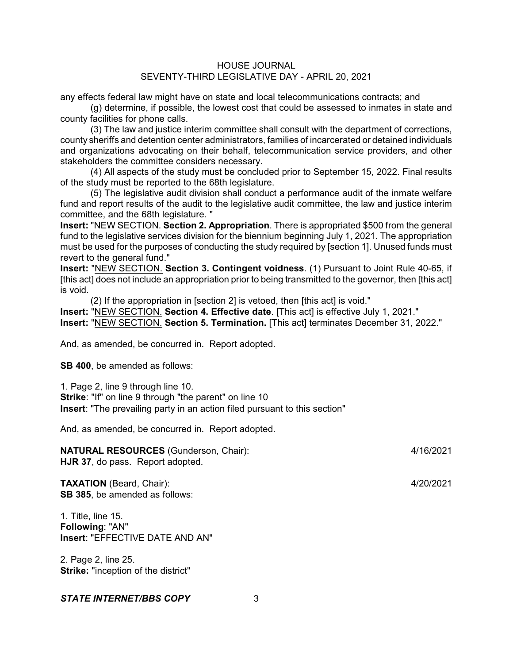any effects federal law might have on state and local telecommunications contracts; and

(g) determine, if possible, the lowest cost that could be assessed to inmates in state and county facilities for phone calls.

(3) The law and justice interim committee shall consult with the department of corrections, county sheriffs and detention center administrators, families of incarcerated or detained individuals and organizations advocating on their behalf, telecommunication service providers, and other stakeholders the committee considers necessary.

(4) All aspects of the study must be concluded prior to September 15, 2022. Final results of the study must be reported to the 68th legislature.

(5) The legislative audit division shall conduct a performance audit of the inmate welfare fund and report results of the audit to the legislative audit committee, the law and justice interim committee, and the 68th legislature. "

**Insert:** "NEW SECTION. **Section 2. Appropriation**. There is appropriated \$500 from the general fund to the legislative services division for the biennium beginning July 1, 2021. The appropriation must be used for the purposes of conducting the study required by [section 1]. Unused funds must revert to the general fund."

**Insert:** "NEW SECTION. **Section 3. Contingent voidness**. (1) Pursuant to Joint Rule 40-65, if [this act] does not include an appropriation prior to being transmitted to the governor, then [this act] is void.

(2) If the appropriation in [section 2] is vetoed, then [this act] is void."

**Insert:** "NEW SECTION. **Section 4. Effective date**. [This act] is effective July 1, 2021."

**Insert:** "NEW SECTION. **Section 5. Termination.** [This act] terminates December 31, 2022."

And, as amended, be concurred in. Report adopted.

**SB 400**, be amended as follows:

1. Page 2, line 9 through line 10.

**Strike:** "If" on line 9 through "the parent" on line 10 **Insert**: "The prevailing party in an action filed pursuant to this section"

And, as amended, be concurred in. Report adopted.

**NATURAL RESOURCES** (Gunderson, Chair): 4/16/2021 **HJR 37**, do pass. Report adopted.

**TAXATION** (Beard, Chair): 4/20/2021 **SB 385**, be amended as follows:

1. Title, line 15. **Following**: "AN" **Insert**: "EFFECTIVE DATE AND AN"

2. Page 2, line 25. **Strike:** "inception of the district"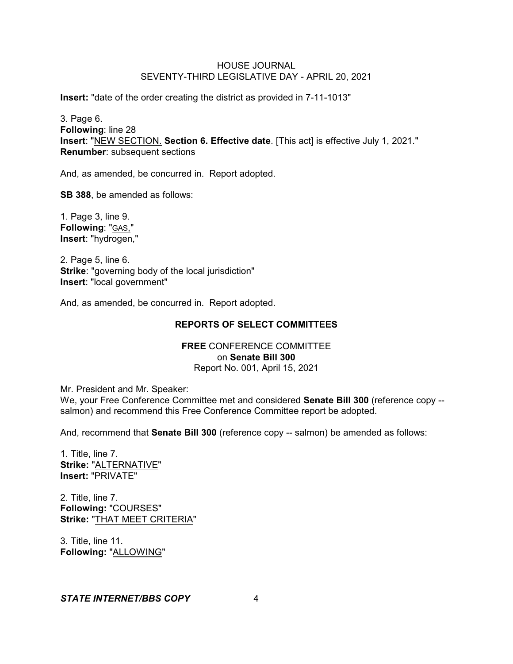**Insert:** "date of the order creating the district as provided in 7-11-1013"

3. Page 6. **Following**: line 28 **Insert**: "NEW SECTION. **Section 6. Effective date**. [This act] is effective July 1, 2021." **Renumber**: subsequent sections

And, as amended, be concurred in. Report adopted.

**SB 388**, be amended as follows:

1. Page 3, line 9. **Following**: "GAS," **Insert**: "hydrogen,"

2. Page 5, line 6. **Strike**: "governing body of the local jurisdiction" **Insert**: "local government"

And, as amended, be concurred in. Report adopted.

# **REPORTS OF SELECT COMMITTEES**

## **FREE** CONFERENCE COMMITTEE on **Senate Bill 300** Report No. 001, April 15, 2021

Mr. President and Mr. Speaker:

We, your Free Conference Committee met and considered **Senate Bill 300** (reference copy - salmon) and recommend this Free Conference Committee report be adopted.

And, recommend that **Senate Bill 300** (reference copy -- salmon) be amended as follows:

1. Title, line 7. **Strike:** "ALTERNATIVE" **Insert:** "PRIVATE"

2. Title, line 7. **Following:** "COURSES" **Strike:** "THAT MEET CRITERIA"

3. Title, line 11. **Following:** "ALLOWING"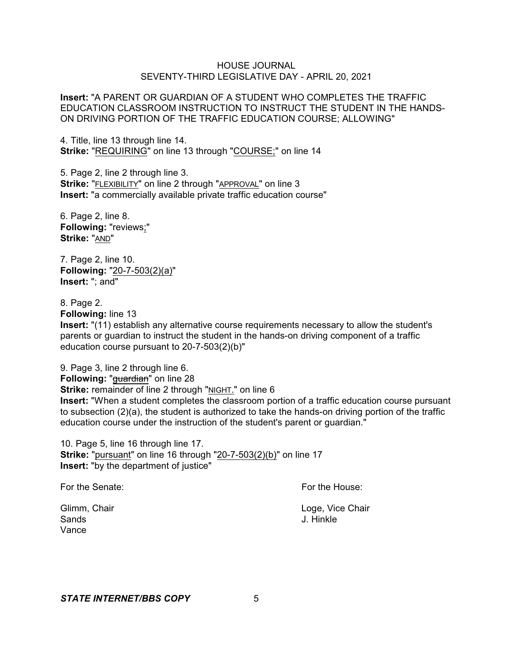**Insert:** "A PARENT OR GUARDIAN OF A STUDENT WHO COMPLETES THE TRAFFIC EDUCATION CLASSROOM INSTRUCTION TO INSTRUCT THE STUDENT IN THE HANDS-ON DRIVING PORTION OF THE TRAFFIC EDUCATION COURSE; ALLOWING"

4. Title, line 13 through line 14. **Strike:** "REQUIRING" on line 13 through "COURSE;" on line 14

5. Page 2, line 2 through line 3. **Strike:** "FLEXIBILITY" on line 2 through "APPROVAL" on line 3 **Insert:** "a commercially available private traffic education course"

6. Page 2, line 8. **Following:** "reviews;" **Strike:** "AND"

7. Page 2, line 10. **Following:** "20-7-503(2)(a)" **Insert:** "; and"

8. Page 2.

**Following:** line 13

**Insert:** "(11) establish any alternative course requirements necessary to allow the student's parents or guardian to instruct the student in the hands-on driving component of a traffic education course pursuant to 20-7-503(2)(b)"

9. Page 3, line 2 through line 6. **Following: "guardian" on line 28 Strike:** remainder of line 2 through "NIGHT." on line 6 **Insert:** "When a student completes the classroom portion of a traffic education course pursuant to subsection (2)(a), the student is authorized to take the hands-on driving portion of the traffic education course under the instruction of the student's parent or guardian."

10. Page 5, line 16 through line 17. **Strike:** "pursuant" on line 16 through "20-7-503(2)(b)" on line 17 **Insert:** "by the department of justice"

For the Senate: **For the House:** For the House:

Sands J. Hinkle Vance

Glimm, Chair **Loge, Vice Chair** Chair **Loge, Vice Chair Loge, Vice Chair**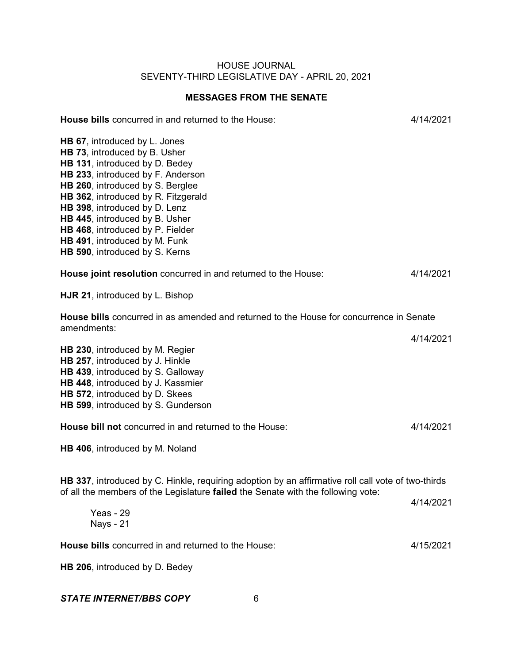# **MESSAGES FROM THE SENATE**

| House bills concurred in and returned to the House:                                                                                                                                                                                                                                                                                                                                        | 4/14/2021 |
|--------------------------------------------------------------------------------------------------------------------------------------------------------------------------------------------------------------------------------------------------------------------------------------------------------------------------------------------------------------------------------------------|-----------|
| HB 67, introduced by L. Jones<br>HB 73, introduced by B. Usher<br>HB 131, introduced by D. Bedey<br>HB 233, introduced by F. Anderson<br>HB 260, introduced by S. Berglee<br>HB 362, introduced by R. Fitzgerald<br>HB 398, introduced by D. Lenz<br>HB 445, introduced by B. Usher<br>HB 468, introduced by P. Fielder<br>HB 491, introduced by M. Funk<br>HB 590, introduced by S. Kerns |           |
| House joint resolution concurred in and returned to the House:                                                                                                                                                                                                                                                                                                                             | 4/14/2021 |
| HJR 21, introduced by L. Bishop                                                                                                                                                                                                                                                                                                                                                            |           |
| House bills concurred in as amended and returned to the House for concurrence in Senate<br>amendments:                                                                                                                                                                                                                                                                                     |           |
| HB 230, introduced by M. Regier<br>HB 257, introduced by J. Hinkle<br>HB 439, introduced by S. Galloway<br>HB 448, introduced by J. Kassmier<br>HB 572, introduced by D. Skees<br>HB 599, introduced by S. Gunderson                                                                                                                                                                       | 4/14/2021 |
| House bill not concurred in and returned to the House:                                                                                                                                                                                                                                                                                                                                     | 4/14/2021 |
| HB 406, introduced by M. Noland                                                                                                                                                                                                                                                                                                                                                            |           |
| HB 337, introduced by C. Hinkle, requiring adoption by an affirmative roll call vote of two-thirds<br>of all the members of the Legislature failed the Senate with the following vote:                                                                                                                                                                                                     |           |
| Yeas - 29<br><b>Nays - 21</b>                                                                                                                                                                                                                                                                                                                                                              | 4/14/2021 |
| House bills concurred in and returned to the House:                                                                                                                                                                                                                                                                                                                                        | 4/15/2021 |
| HB 206, introduced by D. Bedey                                                                                                                                                                                                                                                                                                                                                             |           |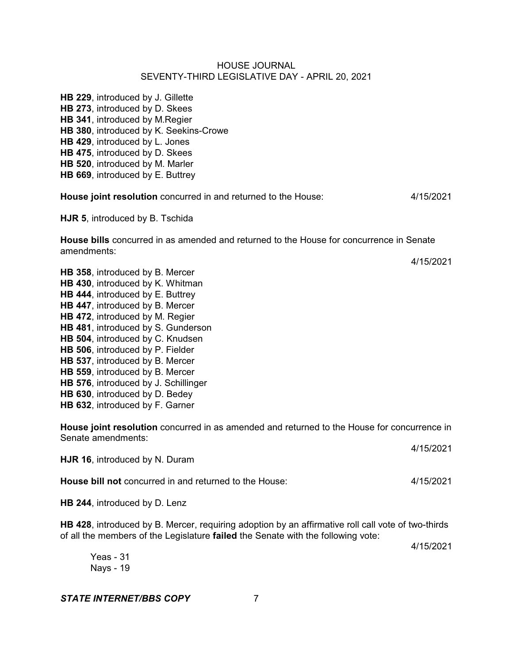**HB 229**, introduced by J. Gillette **HB 273**, introduced by D. Skees **HB 341**, introduced by M.Regier **HB 380**, introduced by K. Seekins-Crowe **HB 429**, introduced by L. Jones **HB 475**, introduced by D. Skees **HB 520**, introduced by M. Marler **HB 669**, introduced by E. Buttrey

**House joint resolution** concurred in and returned to the House: 4/15/2021

**HJR 5**, introduced by B. Tschida

**House bills** concurred in as amended and returned to the House for concurrence in Senate amendments:

4/15/2021

**HB 358**, introduced by B. Mercer **HB 430**, introduced by K. Whitman **HB 444**, introduced by E. Buttrey **HB 447**, introduced by B. Mercer **HB 472**, introduced by M. Regier **HB 481**, introduced by S. Gunderson **HB 504**, introduced by C. Knudsen **HB 506**, introduced by P. Fielder **HB 537**, introduced by B. Mercer **HB 559**, introduced by B. Mercer **HB 576**, introduced by J. Schillinger **HB 630**, introduced by D. Bedey **HB 632**, introduced by F. Garner

**House joint resolution** concurred in as amended and returned to the House for concurrence in Senate amendments: 4/15/2021

| HJR 16, introduced by N. Duram                         | T11012021 |
|--------------------------------------------------------|-----------|
| House bill not concurred in and returned to the House: | 4/15/2021 |
| HB 244, introduced by D. Lenz                          |           |

**HB 428**, introduced by B. Mercer, requiring adoption by an affirmative roll call vote of two-thirds of all the members of the Legislature **failed** the Senate with the following vote:

4/15/2021

Yeas - 31 Nays - 19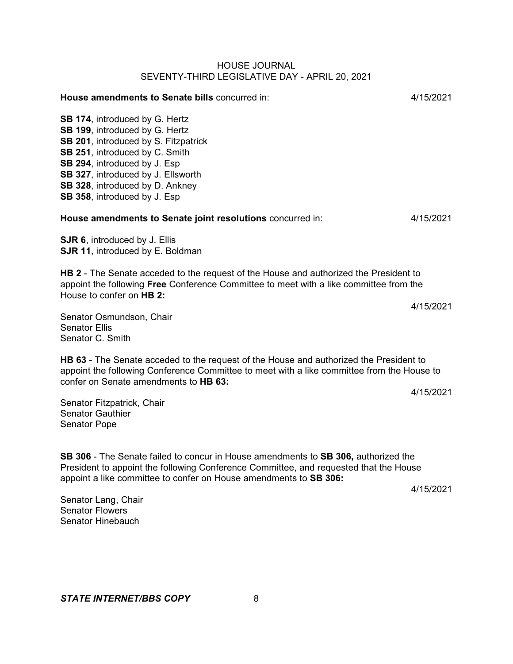| 4/15/2021                                                                                                                                                                                                |
|----------------------------------------------------------------------------------------------------------------------------------------------------------------------------------------------------------|
|                                                                                                                                                                                                          |
| 4/15/2021                                                                                                                                                                                                |
|                                                                                                                                                                                                          |
| <b>HB 2</b> - The Senate acceded to the request of the House and authorized the President to<br>appoint the following Free Conference Committee to meet with a like committee from the                   |
| 4/15/2021                                                                                                                                                                                                |
| <b>HB 63</b> - The Senate acceded to the request of the House and authorized the President to<br>appoint the following Conference Committee to meet with a like committee from the House to<br>4/15/2021 |
|                                                                                                                                                                                                          |

Senator Gauthier Senator Pope

**SB 306** - The Senate failed to concur in House amendments to **SB 306,** authorized the President to appoint the following Conference Committee, and requested that the House appoint a like committee to confer on House amendments to **SB 306:**

4/15/2021

Senator Lang, Chair Senator Flowers Senator Hinebauch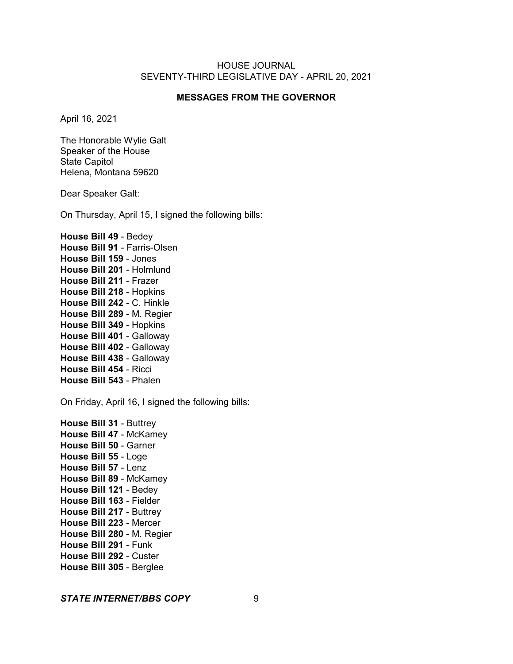## **MESSAGES FROM THE GOVERNOR**

April 16, 2021

The Honorable Wylie Galt Speaker of the House State Capitol Helena, Montana 59620

Dear Speaker Galt:

On Thursday, April 15, I signed the following bills:

**House Bill 49** - Bedey **House Bill 91** - Farris-Olsen **House Bill 159** - Jones **House Bill 201** - Holmlund **House Bill 211** - Frazer **House Bill 218** - Hopkins **House Bill 242** - C. Hinkle **House Bill 289** - M. Regier **House Bill 349** - Hopkins **House Bill 401** - Galloway **House Bill 402** - Galloway **House Bill 438** - Galloway **House Bill 454** - Ricci **House Bill 543** - Phalen

On Friday, April 16, I signed the following bills:

**House Bill 31** - Buttrey **House Bill 47** - McKamey **House Bill 50** - Garner **House Bill 55** - Loge **House Bill 57** - Lenz **House Bill 89** - McKamey **House Bill 121** - Bedey **House Bill 163** - Fielder **House Bill 217** - Buttrey **House Bill 223** - Mercer **House Bill 280** - M. Regier **House Bill 291** - Funk **House Bill 292** - Custer **House Bill 305** - Berglee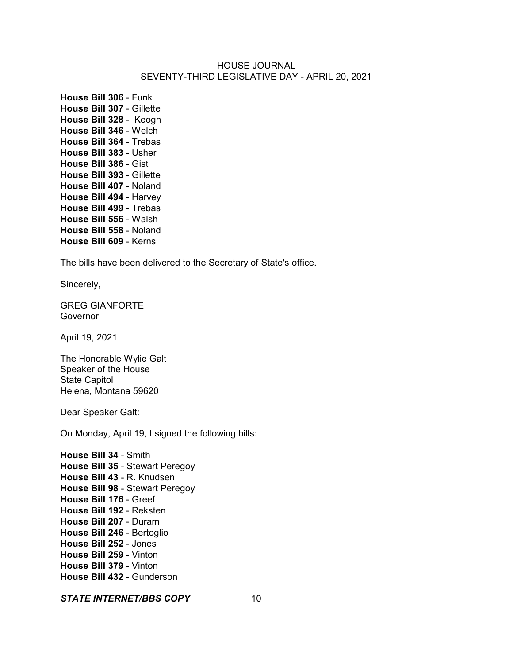**House Bill 306** - Funk **House Bill 307** - Gillette **House Bill 328** - Keogh **House Bill 346** - Welch **House Bill 364** - Trebas **House Bill 383** - Usher **House Bill 386** - Gist **House Bill 393** - Gillette **House Bill 407** - Noland **House Bill 494** - Harvey **House Bill 499** - Trebas **House Bill 556** - Walsh **House Bill 558** - Noland **House Bill 609** - Kerns

The bills have been delivered to the Secretary of State's office.

Sincerely,

GREG GIANFORTE **Governor** 

April 19, 2021

The Honorable Wylie Galt Speaker of the House State Capitol Helena, Montana 59620

Dear Speaker Galt:

On Monday, April 19, I signed the following bills:

**House Bill 34** - Smith **House Bill 35** - Stewart Peregoy **House Bill 43** - R. Knudsen **House Bill 98** - Stewart Peregoy **House Bill 176** - Greef **House Bill 192** - Reksten **House Bill 207** - Duram **House Bill 246** - Bertoglio **House Bill 252** - Jones **House Bill 259** - Vinton **House Bill 379** - Vinton **House Bill 432** - Gunderson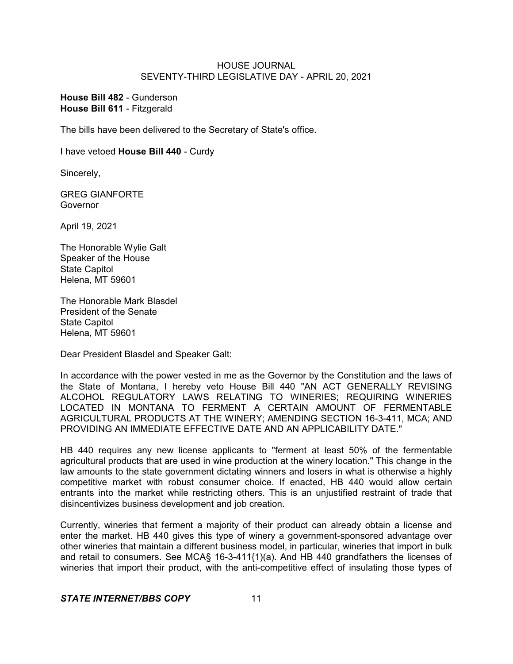**House Bill 482** - Gunderson **House Bill 611** - Fitzgerald

The bills have been delivered to the Secretary of State's office.

I have vetoed **House Bill 440** - Curdy

Sincerely,

GREG GIANFORTE Governor

April 19, 2021

The Honorable Wylie Galt Speaker of the House State Capitol Helena, MT 59601

The Honorable Mark Blasdel President of the Senate State Capitol Helena, MT 59601

Dear President Blasdel and Speaker Galt:

In accordance with the power vested in me as the Governor by the Constitution and the laws of the State of Montana, I hereby veto House Bill 440 "AN ACT GENERALLY REVISING ALCOHOL REGULATORY LAWS RELATING TO WINERIES; REQUIRING WINERIES LOCATED IN MONTANA TO FERMENT A CERTAIN AMOUNT OF FERMENTABLE AGRICULTURAL PRODUCTS AT THE WINERY; AMENDING SECTION 16-3-411, MCA; AND PROVIDING AN IMMEDIATE EFFECTIVE DATE AND AN APPLICABILITY DATE."

HB 440 requires any new license applicants to "ferment at least 50% of the fermentable agricultural products that are used in wine production at the winery location." This change in the law amounts to the state government dictating winners and losers in what is otherwise a highly competitive market with robust consumer choice. If enacted, HB 440 would allow certain entrants into the market while restricting others. This is an unjustified restraint of trade that disincentivizes business development and job creation.

Currently, wineries that ferment a majority of their product can already obtain a license and enter the market. HB 440 gives this type of winery a government-sponsored advantage over other wineries that maintain a different business model, in particular, wineries that import in bulk and retail to consumers. See MCA§ 16-3-411{1)(a). And HB 440 grandfathers the licenses of wineries that import their product, with the anti-competitive effect of insulating those types of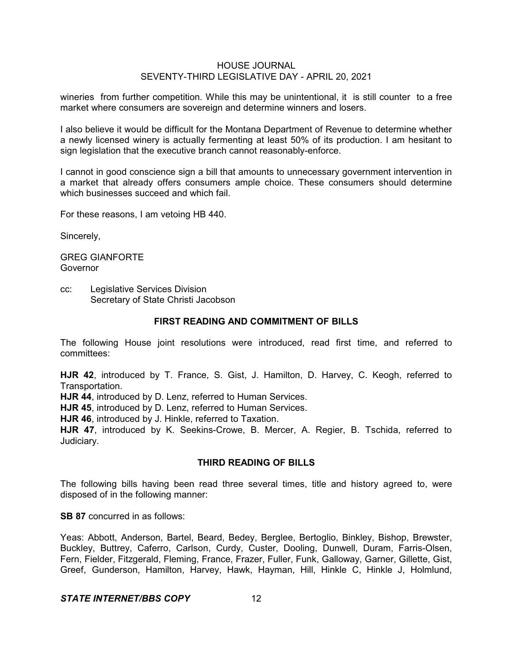wineries from further competition. While this may be unintentional, it is still counter to a free market where consumers are sovereign and determine winners and losers.

I also believe it would be difficult for the Montana Department of Revenue to determine whether a newly licensed winery is actually fermenting at least 50% of its production. I am hesitant to sign legislation that the executive branch cannot reasonably-enforce.

I cannot in good conscience sign a bill that amounts to unnecessary government intervention in a market that already offers consumers ample choice. These consumers should determine which businesses succeed and which fail.

For these reasons, I am vetoing HB 440.

Sincerely,

GREG GIANFORTE **Governor** 

cc: Legislative Services Division Secretary of State Christi Jacobson

#### **FIRST READING AND COMMITMENT OF BILLS**

The following House joint resolutions were introduced, read first time, and referred to committees:

**HJR 42**, introduced by T. France, S. Gist, J. Hamilton, D. Harvey, C. Keogh, referred to Transportation.

**HJR 44**, introduced by D. Lenz, referred to Human Services.

**HJR 45**, introduced by D. Lenz, referred to Human Services.

**HJR 46**, introduced by J. Hinkle, referred to Taxation.

**HJR 47**, introduced by K. Seekins-Crowe, B. Mercer, A. Regier, B. Tschida, referred to Judiciary.

## **THIRD READING OF BILLS**

The following bills having been read three several times, title and history agreed to, were disposed of in the following manner:

**SB 87** concurred in as follows:

Yeas: Abbott, Anderson, Bartel, Beard, Bedey, Berglee, Bertoglio, Binkley, Bishop, Brewster, Buckley, Buttrey, Caferro, Carlson, Curdy, Custer, Dooling, Dunwell, Duram, Farris-Olsen, Fern, Fielder, Fitzgerald, Fleming, France, Frazer, Fuller, Funk, Galloway, Garner, Gillette, Gist, Greef, Gunderson, Hamilton, Harvey, Hawk, Hayman, Hill, Hinkle C, Hinkle J, Holmlund,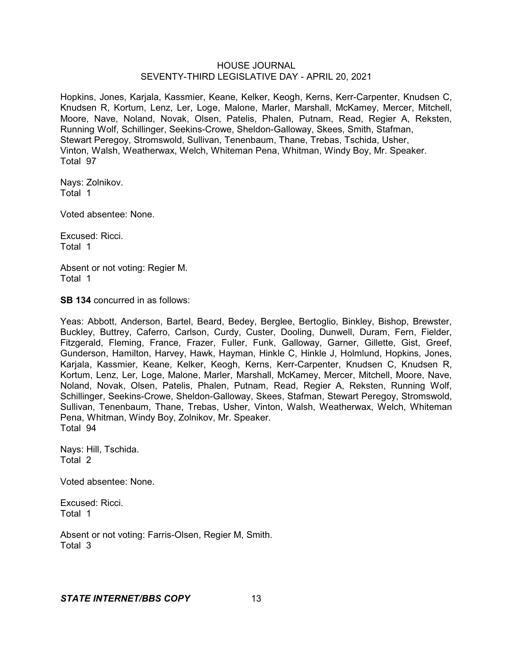Hopkins, Jones, Karjala, Kassmier, Keane, Kelker, Keogh, Kerns, Kerr-Carpenter, Knudsen C, Knudsen R, Kortum, Lenz, Ler, Loge, Malone, Marler, Marshall, McKamey, Mercer, Mitchell, Moore, Nave, Noland, Novak, Olsen, Patelis, Phalen, Putnam, Read, Regier A, Reksten, Running Wolf, Schillinger, Seekins-Crowe, Sheldon-Galloway, Skees, Smith, Stafman, Stewart Peregoy, Stromswold, Sullivan, Tenenbaum, Thane, Trebas, Tschida, Usher, Vinton, Walsh, Weatherwax, Welch, Whiteman Pena, Whitman, Windy Boy, Mr. Speaker. Total 97

Nays: Zolnikov. Total 1

Voted absentee: None.

Excused: Ricci. Total 1

Absent or not voting: Regier M. Total 1

**SB 134** concurred in as follows:

Yeas: Abbott, Anderson, Bartel, Beard, Bedey, Berglee, Bertoglio, Binkley, Bishop, Brewster, Buckley, Buttrey, Caferro, Carlson, Curdy, Custer, Dooling, Dunwell, Duram, Fern, Fielder, Fitzgerald, Fleming, France, Frazer, Fuller, Funk, Galloway, Garner, Gillette, Gist, Greef, Gunderson, Hamilton, Harvey, Hawk, Hayman, Hinkle C, Hinkle J, Holmlund, Hopkins, Jones, Karjala, Kassmier, Keane, Kelker, Keogh, Kerns, Kerr-Carpenter, Knudsen C, Knudsen R, Kortum, Lenz, Ler, Loge, Malone, Marler, Marshall, McKamey, Mercer, Mitchell, Moore, Nave, Noland, Novak, Olsen, Patelis, Phalen, Putnam, Read, Regier A, Reksten, Running Wolf, Schillinger, Seekins-Crowe, Sheldon-Galloway, Skees, Stafman, Stewart Peregoy, Stromswold, Sullivan, Tenenbaum, Thane, Trebas, Usher, Vinton, Walsh, Weatherwax, Welch, Whiteman Pena, Whitman, Windy Boy, Zolnikov, Mr. Speaker. Total 94

Nays: Hill, Tschida. Total 2

Voted absentee: None.

Excused: Ricci. Total 1

Absent or not voting: Farris-Olsen, Regier M, Smith. Total 3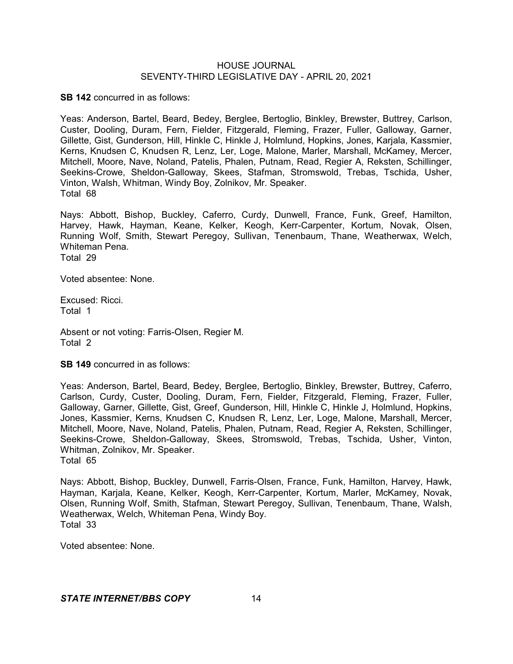**SB 142** concurred in as follows:

Yeas: Anderson, Bartel, Beard, Bedey, Berglee, Bertoglio, Binkley, Brewster, Buttrey, Carlson, Custer, Dooling, Duram, Fern, Fielder, Fitzgerald, Fleming, Frazer, Fuller, Galloway, Garner, Gillette, Gist, Gunderson, Hill, Hinkle C, Hinkle J, Holmlund, Hopkins, Jones, Karjala, Kassmier, Kerns, Knudsen C, Knudsen R, Lenz, Ler, Loge, Malone, Marler, Marshall, McKamey, Mercer, Mitchell, Moore, Nave, Noland, Patelis, Phalen, Putnam, Read, Regier A, Reksten, Schillinger, Seekins-Crowe, Sheldon-Galloway, Skees, Stafman, Stromswold, Trebas, Tschida, Usher, Vinton, Walsh, Whitman, Windy Boy, Zolnikov, Mr. Speaker. Total 68

Nays: Abbott, Bishop, Buckley, Caferro, Curdy, Dunwell, France, Funk, Greef, Hamilton, Harvey, Hawk, Hayman, Keane, Kelker, Keogh, Kerr-Carpenter, Kortum, Novak, Olsen, Running Wolf, Smith, Stewart Peregoy, Sullivan, Tenenbaum, Thane, Weatherwax, Welch, Whiteman Pena. Total 29

Voted absentee: None.

Excused: Ricci. Total 1

Absent or not voting: Farris-Olsen, Regier M. Total 2

**SB 149** concurred in as follows:

Yeas: Anderson, Bartel, Beard, Bedey, Berglee, Bertoglio, Binkley, Brewster, Buttrey, Caferro, Carlson, Curdy, Custer, Dooling, Duram, Fern, Fielder, Fitzgerald, Fleming, Frazer, Fuller, Galloway, Garner, Gillette, Gist, Greef, Gunderson, Hill, Hinkle C, Hinkle J, Holmlund, Hopkins, Jones, Kassmier, Kerns, Knudsen C, Knudsen R, Lenz, Ler, Loge, Malone, Marshall, Mercer, Mitchell, Moore, Nave, Noland, Patelis, Phalen, Putnam, Read, Regier A, Reksten, Schillinger, Seekins-Crowe, Sheldon-Galloway, Skees, Stromswold, Trebas, Tschida, Usher, Vinton, Whitman, Zolnikov, Mr. Speaker. Total 65

Nays: Abbott, Bishop, Buckley, Dunwell, Farris-Olsen, France, Funk, Hamilton, Harvey, Hawk, Hayman, Karjala, Keane, Kelker, Keogh, Kerr-Carpenter, Kortum, Marler, McKamey, Novak, Olsen, Running Wolf, Smith, Stafman, Stewart Peregoy, Sullivan, Tenenbaum, Thane, Walsh, Weatherwax, Welch, Whiteman Pena, Windy Boy. Total 33

Voted absentee: None.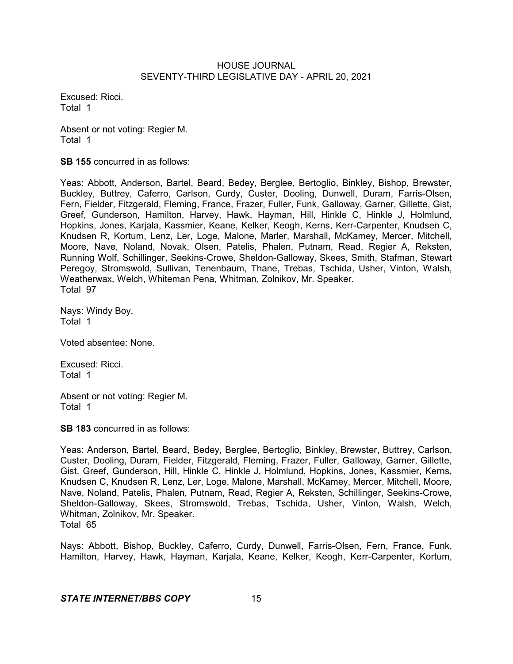Excused: Ricci. Total 1

Absent or not voting: Regier M. Total 1

**SB 155** concurred in as follows:

Yeas: Abbott, Anderson, Bartel, Beard, Bedey, Berglee, Bertoglio, Binkley, Bishop, Brewster, Buckley, Buttrey, Caferro, Carlson, Curdy, Custer, Dooling, Dunwell, Duram, Farris-Olsen, Fern, Fielder, Fitzgerald, Fleming, France, Frazer, Fuller, Funk, Galloway, Garner, Gillette, Gist, Greef, Gunderson, Hamilton, Harvey, Hawk, Hayman, Hill, Hinkle C, Hinkle J, Holmlund, Hopkins, Jones, Karjala, Kassmier, Keane, Kelker, Keogh, Kerns, Kerr-Carpenter, Knudsen C, Knudsen R, Kortum, Lenz, Ler, Loge, Malone, Marler, Marshall, McKamey, Mercer, Mitchell, Moore, Nave, Noland, Novak, Olsen, Patelis, Phalen, Putnam, Read, Regier A, Reksten, Running Wolf, Schillinger, Seekins-Crowe, Sheldon-Galloway, Skees, Smith, Stafman, Stewart Peregoy, Stromswold, Sullivan, Tenenbaum, Thane, Trebas, Tschida, Usher, Vinton, Walsh, Weatherwax, Welch, Whiteman Pena, Whitman, Zolnikov, Mr. Speaker. Total 97

Nays: Windy Boy. Total 1

Voted absentee: None.

Excused: Ricci. Total 1

Absent or not voting: Regier M. Total 1

**SB 183** concurred in as follows:

Yeas: Anderson, Bartel, Beard, Bedey, Berglee, Bertoglio, Binkley, Brewster, Buttrey, Carlson, Custer, Dooling, Duram, Fielder, Fitzgerald, Fleming, Frazer, Fuller, Galloway, Garner, Gillette, Gist, Greef, Gunderson, Hill, Hinkle C, Hinkle J, Holmlund, Hopkins, Jones, Kassmier, Kerns, Knudsen C, Knudsen R, Lenz, Ler, Loge, Malone, Marshall, McKamey, Mercer, Mitchell, Moore, Nave, Noland, Patelis, Phalen, Putnam, Read, Regier A, Reksten, Schillinger, Seekins-Crowe, Sheldon-Galloway, Skees, Stromswold, Trebas, Tschida, Usher, Vinton, Walsh, Welch, Whitman, Zolnikov, Mr. Speaker. Total 65

Nays: Abbott, Bishop, Buckley, Caferro, Curdy, Dunwell, Farris-Olsen, Fern, France, Funk, Hamilton, Harvey, Hawk, Hayman, Karjala, Keane, Kelker, Keogh, Kerr-Carpenter, Kortum,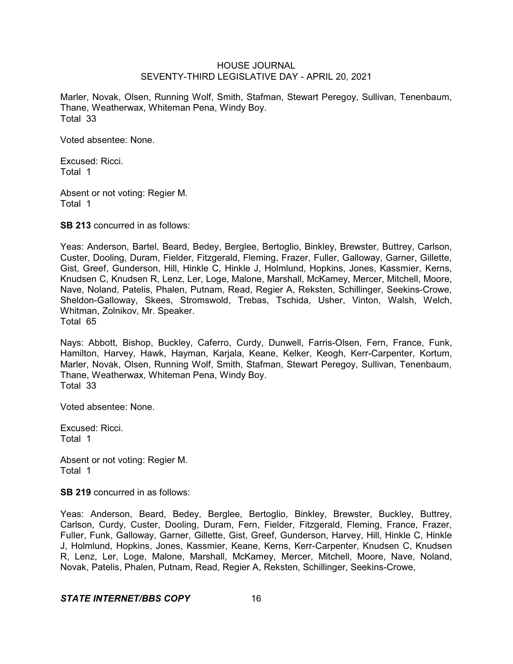Marler, Novak, Olsen, Running Wolf, Smith, Stafman, Stewart Peregoy, Sullivan, Tenenbaum, Thane, Weatherwax, Whiteman Pena, Windy Boy. Total 33

Voted absentee: None.

Excused: Ricci. Total 1

Absent or not voting: Regier M. Total 1

**SB 213** concurred in as follows:

Yeas: Anderson, Bartel, Beard, Bedey, Berglee, Bertoglio, Binkley, Brewster, Buttrey, Carlson, Custer, Dooling, Duram, Fielder, Fitzgerald, Fleming, Frazer, Fuller, Galloway, Garner, Gillette, Gist, Greef, Gunderson, Hill, Hinkle C, Hinkle J, Holmlund, Hopkins, Jones, Kassmier, Kerns, Knudsen C, Knudsen R, Lenz, Ler, Loge, Malone, Marshall, McKamey, Mercer, Mitchell, Moore, Nave, Noland, Patelis, Phalen, Putnam, Read, Regier A, Reksten, Schillinger, Seekins-Crowe, Sheldon-Galloway, Skees, Stromswold, Trebas, Tschida, Usher, Vinton, Walsh, Welch, Whitman, Zolnikov, Mr. Speaker. Total 65

Nays: Abbott, Bishop, Buckley, Caferro, Curdy, Dunwell, Farris-Olsen, Fern, France, Funk, Hamilton, Harvey, Hawk, Hayman, Karjala, Keane, Kelker, Keogh, Kerr-Carpenter, Kortum, Marler, Novak, Olsen, Running Wolf, Smith, Stafman, Stewart Peregoy, Sullivan, Tenenbaum, Thane, Weatherwax, Whiteman Pena, Windy Boy. Total 33

Voted absentee: None.

Excused: Ricci. Total 1

Absent or not voting: Regier M. Total 1

**SB 219** concurred in as follows:

Yeas: Anderson, Beard, Bedey, Berglee, Bertoglio, Binkley, Brewster, Buckley, Buttrey, Carlson, Curdy, Custer, Dooling, Duram, Fern, Fielder, Fitzgerald, Fleming, France, Frazer, Fuller, Funk, Galloway, Garner, Gillette, Gist, Greef, Gunderson, Harvey, Hill, Hinkle C, Hinkle J, Holmlund, Hopkins, Jones, Kassmier, Keane, Kerns, Kerr-Carpenter, Knudsen C, Knudsen R, Lenz, Ler, Loge, Malone, Marshall, McKamey, Mercer, Mitchell, Moore, Nave, Noland, Novak, Patelis, Phalen, Putnam, Read, Regier A, Reksten, Schillinger, Seekins-Crowe,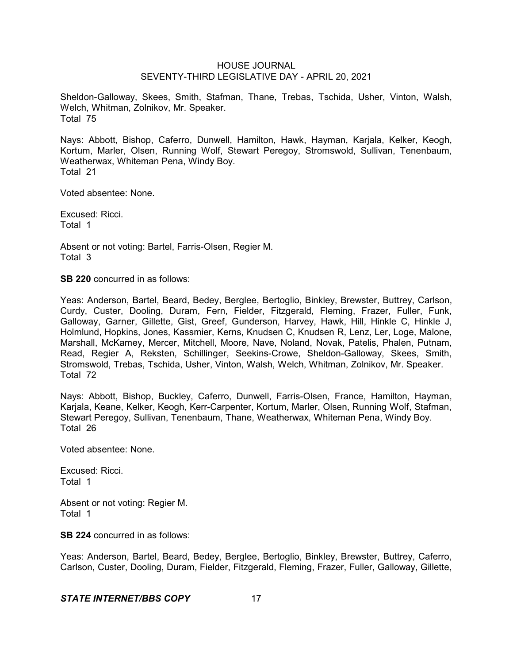Sheldon-Galloway, Skees, Smith, Stafman, Thane, Trebas, Tschida, Usher, Vinton, Walsh, Welch, Whitman, Zolnikov, Mr. Speaker. Total 75

Nays: Abbott, Bishop, Caferro, Dunwell, Hamilton, Hawk, Hayman, Karjala, Kelker, Keogh, Kortum, Marler, Olsen, Running Wolf, Stewart Peregoy, Stromswold, Sullivan, Tenenbaum, Weatherwax, Whiteman Pena, Windy Boy. Total 21

Voted absentee: None.

Excused: Ricci. Total 1

Absent or not voting: Bartel, Farris-Olsen, Regier M. Total 3

**SB 220** concurred in as follows:

Yeas: Anderson, Bartel, Beard, Bedey, Berglee, Bertoglio, Binkley, Brewster, Buttrey, Carlson, Curdy, Custer, Dooling, Duram, Fern, Fielder, Fitzgerald, Fleming, Frazer, Fuller, Funk, Galloway, Garner, Gillette, Gist, Greef, Gunderson, Harvey, Hawk, Hill, Hinkle C, Hinkle J, Holmlund, Hopkins, Jones, Kassmier, Kerns, Knudsen C, Knudsen R, Lenz, Ler, Loge, Malone, Marshall, McKamey, Mercer, Mitchell, Moore, Nave, Noland, Novak, Patelis, Phalen, Putnam, Read, Regier A, Reksten, Schillinger, Seekins-Crowe, Sheldon-Galloway, Skees, Smith, Stromswold, Trebas, Tschida, Usher, Vinton, Walsh, Welch, Whitman, Zolnikov, Mr. Speaker. Total 72

Nays: Abbott, Bishop, Buckley, Caferro, Dunwell, Farris-Olsen, France, Hamilton, Hayman, Karjala, Keane, Kelker, Keogh, Kerr-Carpenter, Kortum, Marler, Olsen, Running Wolf, Stafman, Stewart Peregoy, Sullivan, Tenenbaum, Thane, Weatherwax, Whiteman Pena, Windy Boy. Total 26

Voted absentee: None.

Excused: Ricci. Total 1

Absent or not voting: Regier M. Total 1

**SB 224** concurred in as follows:

Yeas: Anderson, Bartel, Beard, Bedey, Berglee, Bertoglio, Binkley, Brewster, Buttrey, Caferro, Carlson, Custer, Dooling, Duram, Fielder, Fitzgerald, Fleming, Frazer, Fuller, Galloway, Gillette,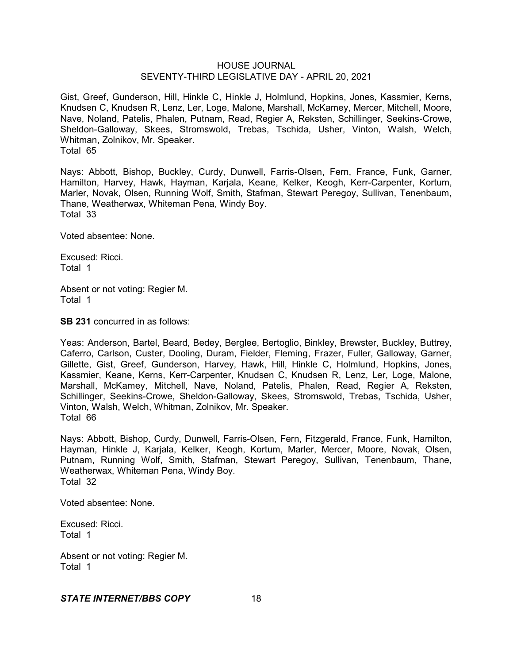Gist, Greef, Gunderson, Hill, Hinkle C, Hinkle J, Holmlund, Hopkins, Jones, Kassmier, Kerns, Knudsen C, Knudsen R, Lenz, Ler, Loge, Malone, Marshall, McKamey, Mercer, Mitchell, Moore, Nave, Noland, Patelis, Phalen, Putnam, Read, Regier A, Reksten, Schillinger, Seekins-Crowe, Sheldon-Galloway, Skees, Stromswold, Trebas, Tschida, Usher, Vinton, Walsh, Welch, Whitman, Zolnikov, Mr. Speaker. Total 65

Nays: Abbott, Bishop, Buckley, Curdy, Dunwell, Farris-Olsen, Fern, France, Funk, Garner, Hamilton, Harvey, Hawk, Hayman, Karjala, Keane, Kelker, Keogh, Kerr-Carpenter, Kortum, Marler, Novak, Olsen, Running Wolf, Smith, Stafman, Stewart Peregoy, Sullivan, Tenenbaum, Thane, Weatherwax, Whiteman Pena, Windy Boy. Total 33

Voted absentee: None.

Excused: Ricci. Total 1

Absent or not voting: Regier M. Total 1

**SB 231** concurred in as follows:

Yeas: Anderson, Bartel, Beard, Bedey, Berglee, Bertoglio, Binkley, Brewster, Buckley, Buttrey, Caferro, Carlson, Custer, Dooling, Duram, Fielder, Fleming, Frazer, Fuller, Galloway, Garner, Gillette, Gist, Greef, Gunderson, Harvey, Hawk, Hill, Hinkle C, Holmlund, Hopkins, Jones, Kassmier, Keane, Kerns, Kerr-Carpenter, Knudsen C, Knudsen R, Lenz, Ler, Loge, Malone, Marshall, McKamey, Mitchell, Nave, Noland, Patelis, Phalen, Read, Regier A, Reksten, Schillinger, Seekins-Crowe, Sheldon-Galloway, Skees, Stromswold, Trebas, Tschida, Usher, Vinton, Walsh, Welch, Whitman, Zolnikov, Mr. Speaker. Total 66

Nays: Abbott, Bishop, Curdy, Dunwell, Farris-Olsen, Fern, Fitzgerald, France, Funk, Hamilton, Hayman, Hinkle J, Karjala, Kelker, Keogh, Kortum, Marler, Mercer, Moore, Novak, Olsen, Putnam, Running Wolf, Smith, Stafman, Stewart Peregoy, Sullivan, Tenenbaum, Thane, Weatherwax, Whiteman Pena, Windy Boy. Total 32

Voted absentee: None.

Excused: Ricci. Total 1

Absent or not voting: Regier M. Total 1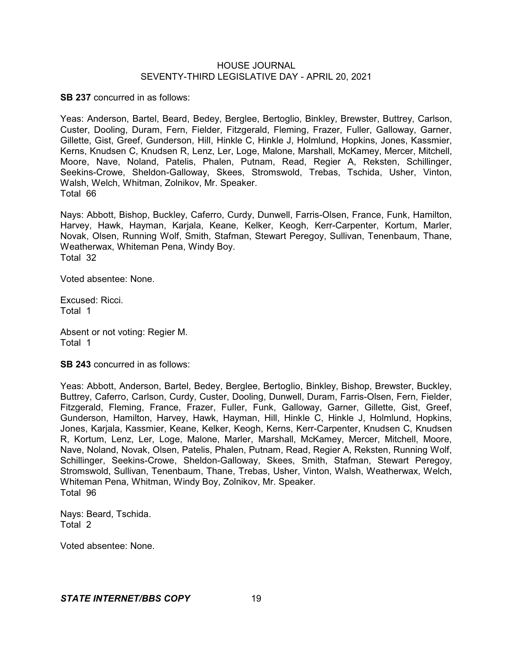**SB 237** concurred in as follows:

Yeas: Anderson, Bartel, Beard, Bedey, Berglee, Bertoglio, Binkley, Brewster, Buttrey, Carlson, Custer, Dooling, Duram, Fern, Fielder, Fitzgerald, Fleming, Frazer, Fuller, Galloway, Garner, Gillette, Gist, Greef, Gunderson, Hill, Hinkle C, Hinkle J, Holmlund, Hopkins, Jones, Kassmier, Kerns, Knudsen C, Knudsen R, Lenz, Ler, Loge, Malone, Marshall, McKamey, Mercer, Mitchell, Moore, Nave, Noland, Patelis, Phalen, Putnam, Read, Regier A, Reksten, Schillinger, Seekins-Crowe, Sheldon-Galloway, Skees, Stromswold, Trebas, Tschida, Usher, Vinton, Walsh, Welch, Whitman, Zolnikov, Mr. Speaker. Total 66

Nays: Abbott, Bishop, Buckley, Caferro, Curdy, Dunwell, Farris-Olsen, France, Funk, Hamilton, Harvey, Hawk, Hayman, Karjala, Keane, Kelker, Keogh, Kerr-Carpenter, Kortum, Marler, Novak, Olsen, Running Wolf, Smith, Stafman, Stewart Peregoy, Sullivan, Tenenbaum, Thane, Weatherwax, Whiteman Pena, Windy Boy. Total 32

Voted absentee: None.

Excused: Ricci. Total 1

Absent or not voting: Regier M. Total 1

**SB 243** concurred in as follows:

Yeas: Abbott, Anderson, Bartel, Bedey, Berglee, Bertoglio, Binkley, Bishop, Brewster, Buckley, Buttrey, Caferro, Carlson, Curdy, Custer, Dooling, Dunwell, Duram, Farris-Olsen, Fern, Fielder, Fitzgerald, Fleming, France, Frazer, Fuller, Funk, Galloway, Garner, Gillette, Gist, Greef, Gunderson, Hamilton, Harvey, Hawk, Hayman, Hill, Hinkle C, Hinkle J, Holmlund, Hopkins, Jones, Karjala, Kassmier, Keane, Kelker, Keogh, Kerns, Kerr-Carpenter, Knudsen C, Knudsen R, Kortum, Lenz, Ler, Loge, Malone, Marler, Marshall, McKamey, Mercer, Mitchell, Moore, Nave, Noland, Novak, Olsen, Patelis, Phalen, Putnam, Read, Regier A, Reksten, Running Wolf, Schillinger, Seekins-Crowe, Sheldon-Galloway, Skees, Smith, Stafman, Stewart Peregoy, Stromswold, Sullivan, Tenenbaum, Thane, Trebas, Usher, Vinton, Walsh, Weatherwax, Welch, Whiteman Pena, Whitman, Windy Boy, Zolnikov, Mr. Speaker. Total 96

Nays: Beard, Tschida. Total 2

Voted absentee: None.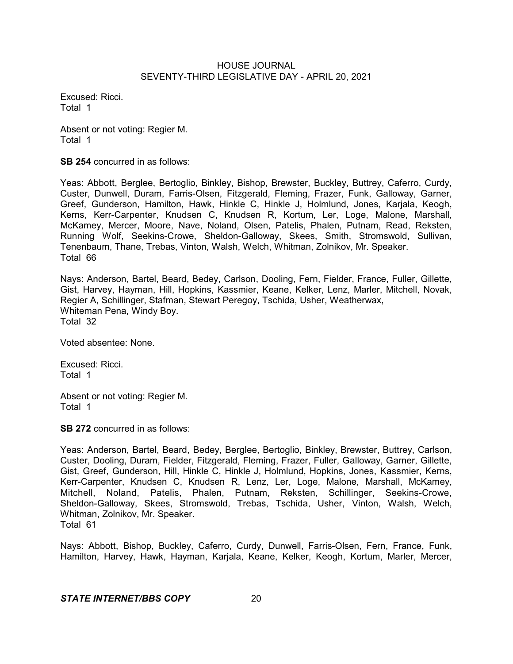Excused: Ricci. Total 1

Absent or not voting: Regier M. Total 1

**SB 254** concurred in as follows:

Yeas: Abbott, Berglee, Bertoglio, Binkley, Bishop, Brewster, Buckley, Buttrey, Caferro, Curdy, Custer, Dunwell, Duram, Farris-Olsen, Fitzgerald, Fleming, Frazer, Funk, Galloway, Garner, Greef, Gunderson, Hamilton, Hawk, Hinkle C, Hinkle J, Holmlund, Jones, Karjala, Keogh, Kerns, Kerr-Carpenter, Knudsen C, Knudsen R, Kortum, Ler, Loge, Malone, Marshall, McKamey, Mercer, Moore, Nave, Noland, Olsen, Patelis, Phalen, Putnam, Read, Reksten, Running Wolf, Seekins-Crowe, Sheldon-Galloway, Skees, Smith, Stromswold, Sullivan, Tenenbaum, Thane, Trebas, Vinton, Walsh, Welch, Whitman, Zolnikov, Mr. Speaker. Total 66

Nays: Anderson, Bartel, Beard, Bedey, Carlson, Dooling, Fern, Fielder, France, Fuller, Gillette, Gist, Harvey, Hayman, Hill, Hopkins, Kassmier, Keane, Kelker, Lenz, Marler, Mitchell, Novak, Regier A, Schillinger, Stafman, Stewart Peregoy, Tschida, Usher, Weatherwax, Whiteman Pena, Windy Boy. Total 32

Voted absentee: None.

Excused: Ricci. Total 1

Absent or not voting: Regier M. Total 1

**SB 272** concurred in as follows:

Yeas: Anderson, Bartel, Beard, Bedey, Berglee, Bertoglio, Binkley, Brewster, Buttrey, Carlson, Custer, Dooling, Duram, Fielder, Fitzgerald, Fleming, Frazer, Fuller, Galloway, Garner, Gillette, Gist, Greef, Gunderson, Hill, Hinkle C, Hinkle J, Holmlund, Hopkins, Jones, Kassmier, Kerns, Kerr-Carpenter, Knudsen C, Knudsen R, Lenz, Ler, Loge, Malone, Marshall, McKamey, Mitchell, Noland, Patelis, Phalen, Putnam, Reksten, Schillinger, Seekins-Crowe, Sheldon-Galloway, Skees, Stromswold, Trebas, Tschida, Usher, Vinton, Walsh, Welch, Whitman, Zolnikov, Mr. Speaker. Total 61

Nays: Abbott, Bishop, Buckley, Caferro, Curdy, Dunwell, Farris-Olsen, Fern, France, Funk, Hamilton, Harvey, Hawk, Hayman, Karjala, Keane, Kelker, Keogh, Kortum, Marler, Mercer,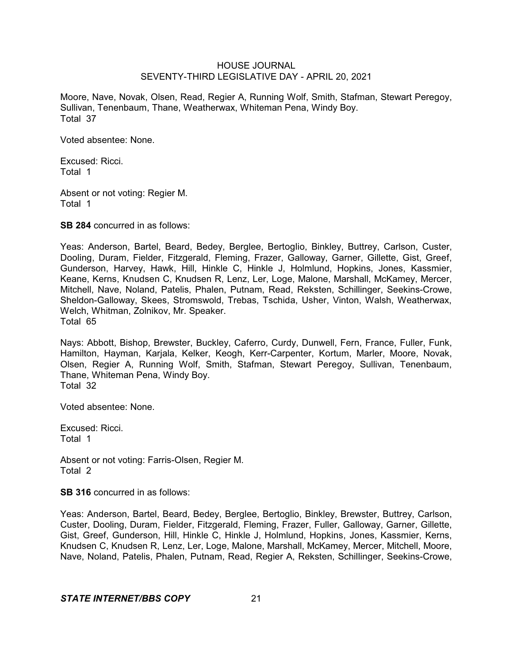Moore, Nave, Novak, Olsen, Read, Regier A, Running Wolf, Smith, Stafman, Stewart Peregoy, Sullivan, Tenenbaum, Thane, Weatherwax, Whiteman Pena, Windy Boy. Total 37

Voted absentee: None.

Excused: Ricci. Total 1

Absent or not voting: Regier M. Total 1

**SB 284** concurred in as follows:

Yeas: Anderson, Bartel, Beard, Bedey, Berglee, Bertoglio, Binkley, Buttrey, Carlson, Custer, Dooling, Duram, Fielder, Fitzgerald, Fleming, Frazer, Galloway, Garner, Gillette, Gist, Greef, Gunderson, Harvey, Hawk, Hill, Hinkle C, Hinkle J, Holmlund, Hopkins, Jones, Kassmier, Keane, Kerns, Knudsen C, Knudsen R, Lenz, Ler, Loge, Malone, Marshall, McKamey, Mercer, Mitchell, Nave, Noland, Patelis, Phalen, Putnam, Read, Reksten, Schillinger, Seekins-Crowe, Sheldon-Galloway, Skees, Stromswold, Trebas, Tschida, Usher, Vinton, Walsh, Weatherwax, Welch, Whitman, Zolnikov, Mr. Speaker. Total 65

Nays: Abbott, Bishop, Brewster, Buckley, Caferro, Curdy, Dunwell, Fern, France, Fuller, Funk, Hamilton, Hayman, Karjala, Kelker, Keogh, Kerr-Carpenter, Kortum, Marler, Moore, Novak, Olsen, Regier A, Running Wolf, Smith, Stafman, Stewart Peregoy, Sullivan, Tenenbaum, Thane, Whiteman Pena, Windy Boy. Total 32

Voted absentee: None.

Excused: Ricci. Total 1

Absent or not voting: Farris-Olsen, Regier M. Total 2

**SB 316** concurred in as follows:

Yeas: Anderson, Bartel, Beard, Bedey, Berglee, Bertoglio, Binkley, Brewster, Buttrey, Carlson, Custer, Dooling, Duram, Fielder, Fitzgerald, Fleming, Frazer, Fuller, Galloway, Garner, Gillette, Gist, Greef, Gunderson, Hill, Hinkle C, Hinkle J, Holmlund, Hopkins, Jones, Kassmier, Kerns, Knudsen C, Knudsen R, Lenz, Ler, Loge, Malone, Marshall, McKamey, Mercer, Mitchell, Moore, Nave, Noland, Patelis, Phalen, Putnam, Read, Regier A, Reksten, Schillinger, Seekins-Crowe,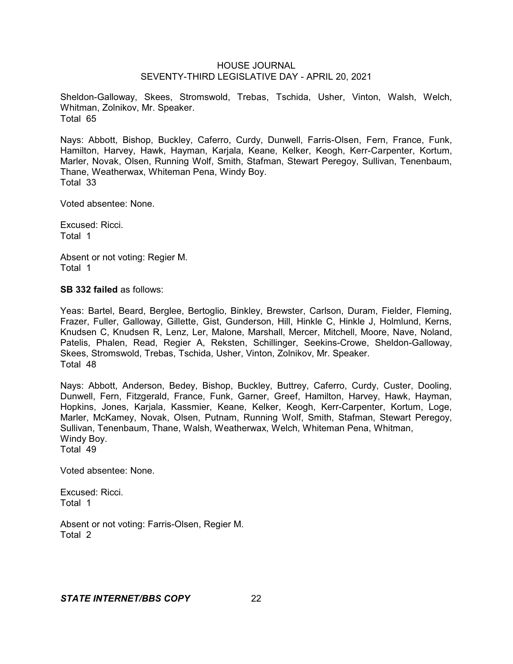Sheldon-Galloway, Skees, Stromswold, Trebas, Tschida, Usher, Vinton, Walsh, Welch, Whitman, Zolnikov, Mr. Speaker. Total 65

Nays: Abbott, Bishop, Buckley, Caferro, Curdy, Dunwell, Farris-Olsen, Fern, France, Funk, Hamilton, Harvey, Hawk, Hayman, Karjala, Keane, Kelker, Keogh, Kerr-Carpenter, Kortum, Marler, Novak, Olsen, Running Wolf, Smith, Stafman, Stewart Peregoy, Sullivan, Tenenbaum, Thane, Weatherwax, Whiteman Pena, Windy Boy. Total 33

Voted absentee: None.

Excused: Ricci. Total 1

Absent or not voting: Regier M. Total 1

**SB 332 failed** as follows:

Yeas: Bartel, Beard, Berglee, Bertoglio, Binkley, Brewster, Carlson, Duram, Fielder, Fleming, Frazer, Fuller, Galloway, Gillette, Gist, Gunderson, Hill, Hinkle C, Hinkle J, Holmlund, Kerns, Knudsen C, Knudsen R, Lenz, Ler, Malone, Marshall, Mercer, Mitchell, Moore, Nave, Noland, Patelis, Phalen, Read, Regier A, Reksten, Schillinger, Seekins-Crowe, Sheldon-Galloway, Skees, Stromswold, Trebas, Tschida, Usher, Vinton, Zolnikov, Mr. Speaker. Total 48

Nays: Abbott, Anderson, Bedey, Bishop, Buckley, Buttrey, Caferro, Curdy, Custer, Dooling, Dunwell, Fern, Fitzgerald, France, Funk, Garner, Greef, Hamilton, Harvey, Hawk, Hayman, Hopkins, Jones, Karjala, Kassmier, Keane, Kelker, Keogh, Kerr-Carpenter, Kortum, Loge, Marler, McKamey, Novak, Olsen, Putnam, Running Wolf, Smith, Stafman, Stewart Peregoy, Sullivan, Tenenbaum, Thane, Walsh, Weatherwax, Welch, Whiteman Pena, Whitman, Windy Boy. Total 49

Voted absentee: None.

Excused: Ricci. Total 1

Absent or not voting: Farris-Olsen, Regier M. Total 2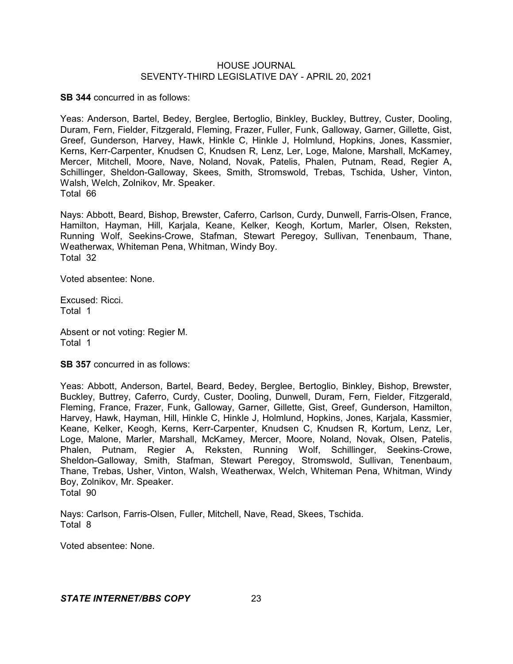**SB 344** concurred in as follows:

Yeas: Anderson, Bartel, Bedey, Berglee, Bertoglio, Binkley, Buckley, Buttrey, Custer, Dooling, Duram, Fern, Fielder, Fitzgerald, Fleming, Frazer, Fuller, Funk, Galloway, Garner, Gillette, Gist, Greef, Gunderson, Harvey, Hawk, Hinkle C, Hinkle J, Holmlund, Hopkins, Jones, Kassmier, Kerns, Kerr-Carpenter, Knudsen C, Knudsen R, Lenz, Ler, Loge, Malone, Marshall, McKamey, Mercer, Mitchell, Moore, Nave, Noland, Novak, Patelis, Phalen, Putnam, Read, Regier A, Schillinger, Sheldon-Galloway, Skees, Smith, Stromswold, Trebas, Tschida, Usher, Vinton, Walsh, Welch, Zolnikov, Mr. Speaker. Total 66

Nays: Abbott, Beard, Bishop, Brewster, Caferro, Carlson, Curdy, Dunwell, Farris-Olsen, France, Hamilton, Hayman, Hill, Karjala, Keane, Kelker, Keogh, Kortum, Marler, Olsen, Reksten, Running Wolf, Seekins-Crowe, Stafman, Stewart Peregoy, Sullivan, Tenenbaum, Thane, Weatherwax, Whiteman Pena, Whitman, Windy Boy. Total 32

Voted absentee: None.

Excused: Ricci. Total 1

Absent or not voting: Regier M. Total 1

**SB 357** concurred in as follows:

Yeas: Abbott, Anderson, Bartel, Beard, Bedey, Berglee, Bertoglio, Binkley, Bishop, Brewster, Buckley, Buttrey, Caferro, Curdy, Custer, Dooling, Dunwell, Duram, Fern, Fielder, Fitzgerald, Fleming, France, Frazer, Funk, Galloway, Garner, Gillette, Gist, Greef, Gunderson, Hamilton, Harvey, Hawk, Hayman, Hill, Hinkle C, Hinkle J, Holmlund, Hopkins, Jones, Karjala, Kassmier, Keane, Kelker, Keogh, Kerns, Kerr-Carpenter, Knudsen C, Knudsen R, Kortum, Lenz, Ler, Loge, Malone, Marler, Marshall, McKamey, Mercer, Moore, Noland, Novak, Olsen, Patelis, Phalen, Putnam, Regier A, Reksten, Running Wolf, Schillinger, Seekins-Crowe, Sheldon-Galloway, Smith, Stafman, Stewart Peregoy, Stromswold, Sullivan, Tenenbaum, Thane, Trebas, Usher, Vinton, Walsh, Weatherwax, Welch, Whiteman Pena, Whitman, Windy Boy, Zolnikov, Mr. Speaker. Total 90

Nays: Carlson, Farris-Olsen, Fuller, Mitchell, Nave, Read, Skees, Tschida. Total 8

Voted absentee: None.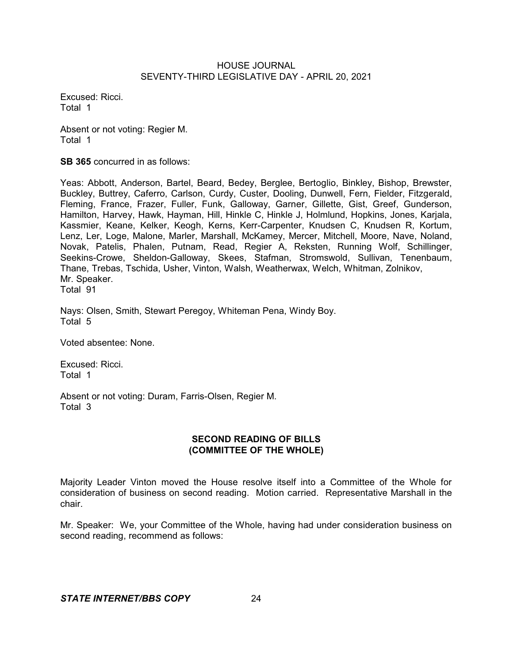Excused: Ricci. Total 1

Absent or not voting: Regier M. Total 1

**SB 365** concurred in as follows:

Yeas: Abbott, Anderson, Bartel, Beard, Bedey, Berglee, Bertoglio, Binkley, Bishop, Brewster, Buckley, Buttrey, Caferro, Carlson, Curdy, Custer, Dooling, Dunwell, Fern, Fielder, Fitzgerald, Fleming, France, Frazer, Fuller, Funk, Galloway, Garner, Gillette, Gist, Greef, Gunderson, Hamilton, Harvey, Hawk, Hayman, Hill, Hinkle C, Hinkle J, Holmlund, Hopkins, Jones, Karjala, Kassmier, Keane, Kelker, Keogh, Kerns, Kerr-Carpenter, Knudsen C, Knudsen R, Kortum, Lenz, Ler, Loge, Malone, Marler, Marshall, McKamey, Mercer, Mitchell, Moore, Nave, Noland, Novak, Patelis, Phalen, Putnam, Read, Regier A, Reksten, Running Wolf, Schillinger, Seekins-Crowe, Sheldon-Galloway, Skees, Stafman, Stromswold, Sullivan, Tenenbaum, Thane, Trebas, Tschida, Usher, Vinton, Walsh, Weatherwax, Welch, Whitman, Zolnikov, Mr. Speaker. Total 91

Nays: Olsen, Smith, Stewart Peregoy, Whiteman Pena, Windy Boy. Total 5

Voted absentee: None.

Excused: Ricci. Total 1

Absent or not voting: Duram, Farris-Olsen, Regier M. Total 3

## **SECOND READING OF BILLS (COMMITTEE OF THE WHOLE)**

Majority Leader Vinton moved the House resolve itself into a Committee of the Whole for consideration of business on second reading. Motion carried. Representative Marshall in the chair.

Mr. Speaker: We, your Committee of the Whole, having had under consideration business on second reading, recommend as follows: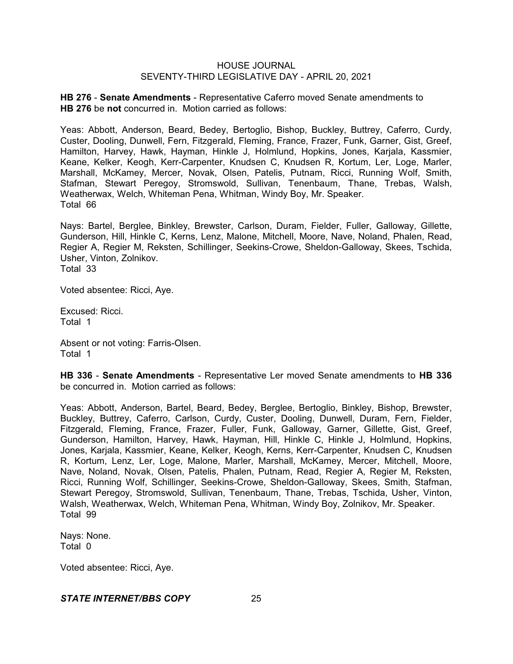**HB 276** - **Senate Amendments** - Representative Caferro moved Senate amendments to **HB 276** be **not** concurred in. Motion carried as follows:

Yeas: Abbott, Anderson, Beard, Bedey, Bertoglio, Bishop, Buckley, Buttrey, Caferro, Curdy, Custer, Dooling, Dunwell, Fern, Fitzgerald, Fleming, France, Frazer, Funk, Garner, Gist, Greef, Hamilton, Harvey, Hawk, Hayman, Hinkle J, Holmlund, Hopkins, Jones, Karjala, Kassmier, Keane, Kelker, Keogh, Kerr-Carpenter, Knudsen C, Knudsen R, Kortum, Ler, Loge, Marler, Marshall, McKamey, Mercer, Novak, Olsen, Patelis, Putnam, Ricci, Running Wolf, Smith, Stafman, Stewart Peregoy, Stromswold, Sullivan, Tenenbaum, Thane, Trebas, Walsh, Weatherwax, Welch, Whiteman Pena, Whitman, Windy Boy, Mr. Speaker. Total 66

Nays: Bartel, Berglee, Binkley, Brewster, Carlson, Duram, Fielder, Fuller, Galloway, Gillette, Gunderson, Hill, Hinkle C, Kerns, Lenz, Malone, Mitchell, Moore, Nave, Noland, Phalen, Read, Regier A, Regier M, Reksten, Schillinger, Seekins-Crowe, Sheldon-Galloway, Skees, Tschida, Usher, Vinton, Zolnikov.

Total 33

Voted absentee: Ricci, Aye.

Excused: Ricci. Total 1

Absent or not voting: Farris-Olsen. Total 1

**HB 336** - **Senate Amendments** - Representative Ler moved Senate amendments to **HB 336** be concurred in. Motion carried as follows:

Yeas: Abbott, Anderson, Bartel, Beard, Bedey, Berglee, Bertoglio, Binkley, Bishop, Brewster, Buckley, Buttrey, Caferro, Carlson, Curdy, Custer, Dooling, Dunwell, Duram, Fern, Fielder, Fitzgerald, Fleming, France, Frazer, Fuller, Funk, Galloway, Garner, Gillette, Gist, Greef, Gunderson, Hamilton, Harvey, Hawk, Hayman, Hill, Hinkle C, Hinkle J, Holmlund, Hopkins, Jones, Karjala, Kassmier, Keane, Kelker, Keogh, Kerns, Kerr-Carpenter, Knudsen C, Knudsen R, Kortum, Lenz, Ler, Loge, Malone, Marler, Marshall, McKamey, Mercer, Mitchell, Moore, Nave, Noland, Novak, Olsen, Patelis, Phalen, Putnam, Read, Regier A, Regier M, Reksten, Ricci, Running Wolf, Schillinger, Seekins-Crowe, Sheldon-Galloway, Skees, Smith, Stafman, Stewart Peregoy, Stromswold, Sullivan, Tenenbaum, Thane, Trebas, Tschida, Usher, Vinton, Walsh, Weatherwax, Welch, Whiteman Pena, Whitman, Windy Boy, Zolnikov, Mr. Speaker. Total 99

Nays: None. Total 0

Voted absentee: Ricci, Aye.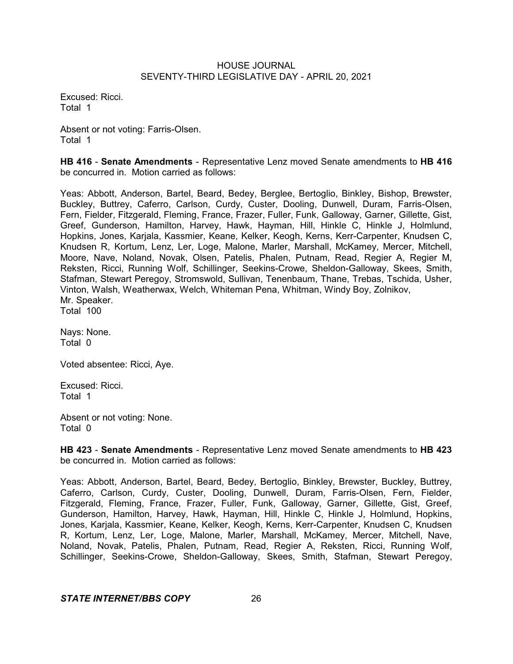Excused: Ricci. Total 1

Absent or not voting: Farris-Olsen. Total 1

**HB 416** - **Senate Amendments** - Representative Lenz moved Senate amendments to **HB 416** be concurred in. Motion carried as follows:

Yeas: Abbott, Anderson, Bartel, Beard, Bedey, Berglee, Bertoglio, Binkley, Bishop, Brewster, Buckley, Buttrey, Caferro, Carlson, Curdy, Custer, Dooling, Dunwell, Duram, Farris-Olsen, Fern, Fielder, Fitzgerald, Fleming, France, Frazer, Fuller, Funk, Galloway, Garner, Gillette, Gist, Greef, Gunderson, Hamilton, Harvey, Hawk, Hayman, Hill, Hinkle C, Hinkle J, Holmlund, Hopkins, Jones, Karjala, Kassmier, Keane, Kelker, Keogh, Kerns, Kerr-Carpenter, Knudsen C, Knudsen R, Kortum, Lenz, Ler, Loge, Malone, Marler, Marshall, McKamey, Mercer, Mitchell, Moore, Nave, Noland, Novak, Olsen, Patelis, Phalen, Putnam, Read, Regier A, Regier M, Reksten, Ricci, Running Wolf, Schillinger, Seekins-Crowe, Sheldon-Galloway, Skees, Smith, Stafman, Stewart Peregoy, Stromswold, Sullivan, Tenenbaum, Thane, Trebas, Tschida, Usher, Vinton, Walsh, Weatherwax, Welch, Whiteman Pena, Whitman, Windy Boy, Zolnikov, Mr. Speaker. Total 100

Nays: None. Total 0

Voted absentee: Ricci, Aye.

Excused: Ricci. Total 1

Absent or not voting: None. Total 0

**HB 423** - **Senate Amendments** - Representative Lenz moved Senate amendments to **HB 423** be concurred in. Motion carried as follows:

Yeas: Abbott, Anderson, Bartel, Beard, Bedey, Bertoglio, Binkley, Brewster, Buckley, Buttrey, Caferro, Carlson, Curdy, Custer, Dooling, Dunwell, Duram, Farris-Olsen, Fern, Fielder, Fitzgerald, Fleming, France, Frazer, Fuller, Funk, Galloway, Garner, Gillette, Gist, Greef, Gunderson, Hamilton, Harvey, Hawk, Hayman, Hill, Hinkle C, Hinkle J, Holmlund, Hopkins, Jones, Karjala, Kassmier, Keane, Kelker, Keogh, Kerns, Kerr-Carpenter, Knudsen C, Knudsen R, Kortum, Lenz, Ler, Loge, Malone, Marler, Marshall, McKamey, Mercer, Mitchell, Nave, Noland, Novak, Patelis, Phalen, Putnam, Read, Regier A, Reksten, Ricci, Running Wolf, Schillinger, Seekins-Crowe, Sheldon-Galloway, Skees, Smith, Stafman, Stewart Peregoy,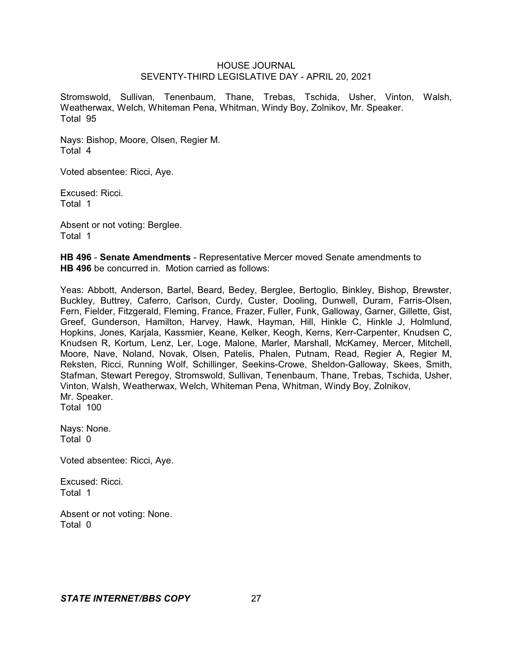Stromswold, Sullivan, Tenenbaum, Thane, Trebas, Tschida, Usher, Vinton, Walsh, Weatherwax, Welch, Whiteman Pena, Whitman, Windy Boy, Zolnikov, Mr. Speaker. Total 95

Nays: Bishop, Moore, Olsen, Regier M. Total 4

Voted absentee: Ricci, Aye.

Excused: Ricci. Total 1

Absent or not voting: Berglee. Total 1

**HB 496** - **Senate Amendments** - Representative Mercer moved Senate amendments to **HB 496** be concurred in. Motion carried as follows:

Yeas: Abbott, Anderson, Bartel, Beard, Bedey, Berglee, Bertoglio, Binkley, Bishop, Brewster, Buckley, Buttrey, Caferro, Carlson, Curdy, Custer, Dooling, Dunwell, Duram, Farris-Olsen, Fern, Fielder, Fitzgerald, Fleming, France, Frazer, Fuller, Funk, Galloway, Garner, Gillette, Gist, Greef, Gunderson, Hamilton, Harvey, Hawk, Hayman, Hill, Hinkle C, Hinkle J, Holmlund, Hopkins, Jones, Karjala, Kassmier, Keane, Kelker, Keogh, Kerns, Kerr-Carpenter, Knudsen C, Knudsen R, Kortum, Lenz, Ler, Loge, Malone, Marler, Marshall, McKamey, Mercer, Mitchell, Moore, Nave, Noland, Novak, Olsen, Patelis, Phalen, Putnam, Read, Regier A, Regier M, Reksten, Ricci, Running Wolf, Schillinger, Seekins-Crowe, Sheldon-Galloway, Skees, Smith, Stafman, Stewart Peregoy, Stromswold, Sullivan, Tenenbaum, Thane, Trebas, Tschida, Usher, Vinton, Walsh, Weatherwax, Welch, Whiteman Pena, Whitman, Windy Boy, Zolnikov, Mr. Speaker. Total 100

Nays: None. Total 0

Voted absentee: Ricci, Aye.

Excused: Ricci. Total 1

Absent or not voting: None. Total 0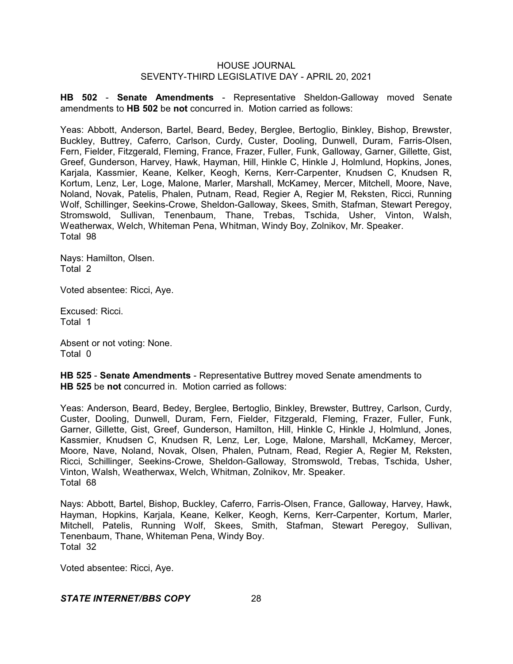**HB 502** - **Senate Amendments** - Representative Sheldon-Galloway moved Senate amendments to **HB 502** be **not** concurred in. Motion carried as follows:

Yeas: Abbott, Anderson, Bartel, Beard, Bedey, Berglee, Bertoglio, Binkley, Bishop, Brewster, Buckley, Buttrey, Caferro, Carlson, Curdy, Custer, Dooling, Dunwell, Duram, Farris-Olsen, Fern, Fielder, Fitzgerald, Fleming, France, Frazer, Fuller, Funk, Galloway, Garner, Gillette, Gist, Greef, Gunderson, Harvey, Hawk, Hayman, Hill, Hinkle C, Hinkle J, Holmlund, Hopkins, Jones, Karjala, Kassmier, Keane, Kelker, Keogh, Kerns, Kerr-Carpenter, Knudsen C, Knudsen R, Kortum, Lenz, Ler, Loge, Malone, Marler, Marshall, McKamey, Mercer, Mitchell, Moore, Nave, Noland, Novak, Patelis, Phalen, Putnam, Read, Regier A, Regier M, Reksten, Ricci, Running Wolf, Schillinger, Seekins-Crowe, Sheldon-Galloway, Skees, Smith, Stafman, Stewart Peregoy, Stromswold, Sullivan, Tenenbaum, Thane, Trebas, Tschida, Usher, Vinton, Walsh, Weatherwax, Welch, Whiteman Pena, Whitman, Windy Boy, Zolnikov, Mr. Speaker. Total 98

Nays: Hamilton, Olsen. Total 2

Voted absentee: Ricci, Aye.

Excused: Ricci. Total 1

Absent or not voting: None. Total 0

**HB 525** - **Senate Amendments** - Representative Buttrey moved Senate amendments to **HB 525** be **not** concurred in. Motion carried as follows:

Yeas: Anderson, Beard, Bedey, Berglee, Bertoglio, Binkley, Brewster, Buttrey, Carlson, Curdy, Custer, Dooling, Dunwell, Duram, Fern, Fielder, Fitzgerald, Fleming, Frazer, Fuller, Funk, Garner, Gillette, Gist, Greef, Gunderson, Hamilton, Hill, Hinkle C, Hinkle J, Holmlund, Jones, Kassmier, Knudsen C, Knudsen R, Lenz, Ler, Loge, Malone, Marshall, McKamey, Mercer, Moore, Nave, Noland, Novak, Olsen, Phalen, Putnam, Read, Regier A, Regier M, Reksten, Ricci, Schillinger, Seekins-Crowe, Sheldon-Galloway, Stromswold, Trebas, Tschida, Usher, Vinton, Walsh, Weatherwax, Welch, Whitman, Zolnikov, Mr. Speaker. Total 68

Nays: Abbott, Bartel, Bishop, Buckley, Caferro, Farris-Olsen, France, Galloway, Harvey, Hawk, Hayman, Hopkins, Karjala, Keane, Kelker, Keogh, Kerns, Kerr-Carpenter, Kortum, Marler, Mitchell, Patelis, Running Wolf, Skees, Smith, Stafman, Stewart Peregoy, Sullivan, Tenenbaum, Thane, Whiteman Pena, Windy Boy. Total 32

Voted absentee: Ricci, Aye.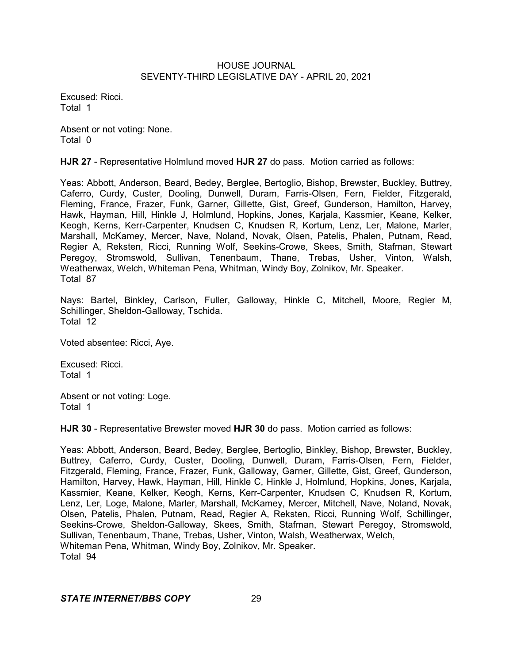Excused: Ricci. Total 1

Absent or not voting: None. Total 0

**HJR 27** - Representative Holmlund moved **HJR 27** do pass. Motion carried as follows:

Yeas: Abbott, Anderson, Beard, Bedey, Berglee, Bertoglio, Bishop, Brewster, Buckley, Buttrey, Caferro, Curdy, Custer, Dooling, Dunwell, Duram, Farris-Olsen, Fern, Fielder, Fitzgerald, Fleming, France, Frazer, Funk, Garner, Gillette, Gist, Greef, Gunderson, Hamilton, Harvey, Hawk, Hayman, Hill, Hinkle J, Holmlund, Hopkins, Jones, Karjala, Kassmier, Keane, Kelker, Keogh, Kerns, Kerr-Carpenter, Knudsen C, Knudsen R, Kortum, Lenz, Ler, Malone, Marler, Marshall, McKamey, Mercer, Nave, Noland, Novak, Olsen, Patelis, Phalen, Putnam, Read, Regier A, Reksten, Ricci, Running Wolf, Seekins-Crowe, Skees, Smith, Stafman, Stewart Peregoy, Stromswold, Sullivan, Tenenbaum, Thane, Trebas, Usher, Vinton, Walsh, Weatherwax, Welch, Whiteman Pena, Whitman, Windy Boy, Zolnikov, Mr. Speaker. Total 87

Nays: Bartel, Binkley, Carlson, Fuller, Galloway, Hinkle C, Mitchell, Moore, Regier M, Schillinger, Sheldon-Galloway, Tschida. Total 12

Voted absentee: Ricci, Aye.

Excused: Ricci. Total 1

Absent or not voting: Loge. Total 1

**HJR 30** - Representative Brewster moved **HJR 30** do pass. Motion carried as follows:

Yeas: Abbott, Anderson, Beard, Bedey, Berglee, Bertoglio, Binkley, Bishop, Brewster, Buckley, Buttrey, Caferro, Curdy, Custer, Dooling, Dunwell, Duram, Farris-Olsen, Fern, Fielder, Fitzgerald, Fleming, France, Frazer, Funk, Galloway, Garner, Gillette, Gist, Greef, Gunderson, Hamilton, Harvey, Hawk, Hayman, Hill, Hinkle C, Hinkle J, Holmlund, Hopkins, Jones, Karjala, Kassmier, Keane, Kelker, Keogh, Kerns, Kerr-Carpenter, Knudsen C, Knudsen R, Kortum, Lenz, Ler, Loge, Malone, Marler, Marshall, McKamey, Mercer, Mitchell, Nave, Noland, Novak, Olsen, Patelis, Phalen, Putnam, Read, Regier A, Reksten, Ricci, Running Wolf, Schillinger, Seekins-Crowe, Sheldon-Galloway, Skees, Smith, Stafman, Stewart Peregoy, Stromswold, Sullivan, Tenenbaum, Thane, Trebas, Usher, Vinton, Walsh, Weatherwax, Welch, Whiteman Pena, Whitman, Windy Boy, Zolnikov, Mr. Speaker. Total 94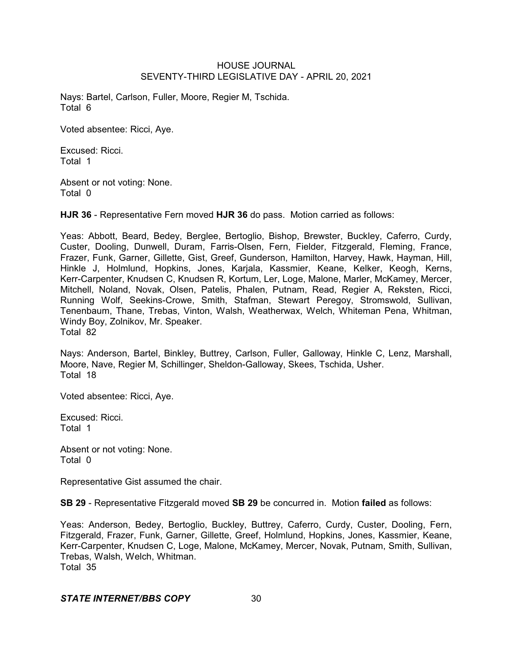Nays: Bartel, Carlson, Fuller, Moore, Regier M, Tschida. Total 6

Voted absentee: Ricci, Aye.

Excused: Ricci. Total 1

Absent or not voting: None. Total 0

**HJR 36** - Representative Fern moved **HJR 36** do pass. Motion carried as follows:

Yeas: Abbott, Beard, Bedey, Berglee, Bertoglio, Bishop, Brewster, Buckley, Caferro, Curdy, Custer, Dooling, Dunwell, Duram, Farris-Olsen, Fern, Fielder, Fitzgerald, Fleming, France, Frazer, Funk, Garner, Gillette, Gist, Greef, Gunderson, Hamilton, Harvey, Hawk, Hayman, Hill, Hinkle J, Holmlund, Hopkins, Jones, Karjala, Kassmier, Keane, Kelker, Keogh, Kerns, Kerr-Carpenter, Knudsen C, Knudsen R, Kortum, Ler, Loge, Malone, Marler, McKamey, Mercer, Mitchell, Noland, Novak, Olsen, Patelis, Phalen, Putnam, Read, Regier A, Reksten, Ricci, Running Wolf, Seekins-Crowe, Smith, Stafman, Stewart Peregoy, Stromswold, Sullivan, Tenenbaum, Thane, Trebas, Vinton, Walsh, Weatherwax, Welch, Whiteman Pena, Whitman, Windy Boy, Zolnikov, Mr. Speaker. Total 82

Nays: Anderson, Bartel, Binkley, Buttrey, Carlson, Fuller, Galloway, Hinkle C, Lenz, Marshall, Moore, Nave, Regier M, Schillinger, Sheldon-Galloway, Skees, Tschida, Usher. Total 18

Voted absentee: Ricci, Aye.

Excused: Ricci. Total 1

Absent or not voting: None. Total 0

Representative Gist assumed the chair.

**SB 29** - Representative Fitzgerald moved **SB 29** be concurred in. Motion **failed** as follows:

Yeas: Anderson, Bedey, Bertoglio, Buckley, Buttrey, Caferro, Curdy, Custer, Dooling, Fern, Fitzgerald, Frazer, Funk, Garner, Gillette, Greef, Holmlund, Hopkins, Jones, Kassmier, Keane, Kerr-Carpenter, Knudsen C, Loge, Malone, McKamey, Mercer, Novak, Putnam, Smith, Sullivan, Trebas, Walsh, Welch, Whitman. Total 35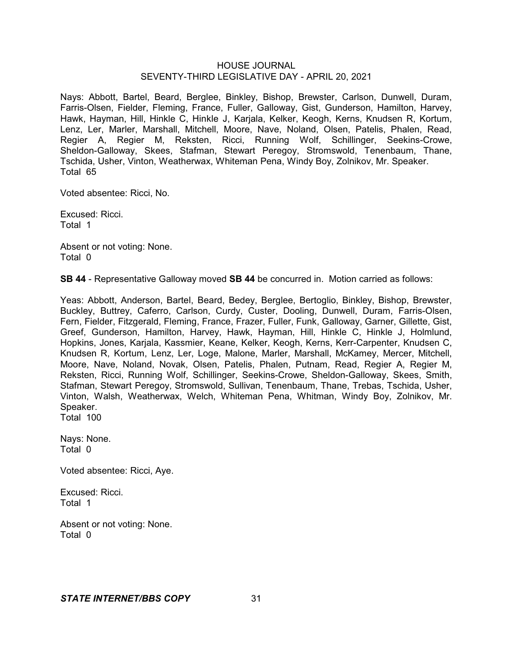Nays: Abbott, Bartel, Beard, Berglee, Binkley, Bishop, Brewster, Carlson, Dunwell, Duram, Farris-Olsen, Fielder, Fleming, France, Fuller, Galloway, Gist, Gunderson, Hamilton, Harvey, Hawk, Hayman, Hill, Hinkle C, Hinkle J, Karjala, Kelker, Keogh, Kerns, Knudsen R, Kortum, Lenz, Ler, Marler, Marshall, Mitchell, Moore, Nave, Noland, Olsen, Patelis, Phalen, Read, Regier A, Regier M, Reksten, Ricci, Running Wolf, Schillinger, Seekins-Crowe, Sheldon-Galloway, Skees, Stafman, Stewart Peregoy, Stromswold, Tenenbaum, Thane, Tschida, Usher, Vinton, Weatherwax, Whiteman Pena, Windy Boy, Zolnikov, Mr. Speaker. Total 65

Voted absentee: Ricci, No.

Excused: Ricci. Total 1

Absent or not voting: None. Total 0

**SB 44** - Representative Galloway moved **SB 44** be concurred in. Motion carried as follows:

Yeas: Abbott, Anderson, Bartel, Beard, Bedey, Berglee, Bertoglio, Binkley, Bishop, Brewster, Buckley, Buttrey, Caferro, Carlson, Curdy, Custer, Dooling, Dunwell, Duram, Farris-Olsen, Fern, Fielder, Fitzgerald, Fleming, France, Frazer, Fuller, Funk, Galloway, Garner, Gillette, Gist, Greef, Gunderson, Hamilton, Harvey, Hawk, Hayman, Hill, Hinkle C, Hinkle J, Holmlund, Hopkins, Jones, Karjala, Kassmier, Keane, Kelker, Keogh, Kerns, Kerr-Carpenter, Knudsen C, Knudsen R, Kortum, Lenz, Ler, Loge, Malone, Marler, Marshall, McKamey, Mercer, Mitchell, Moore, Nave, Noland, Novak, Olsen, Patelis, Phalen, Putnam, Read, Regier A, Regier M, Reksten, Ricci, Running Wolf, Schillinger, Seekins-Crowe, Sheldon-Galloway, Skees, Smith, Stafman, Stewart Peregoy, Stromswold, Sullivan, Tenenbaum, Thane, Trebas, Tschida, Usher, Vinton, Walsh, Weatherwax, Welch, Whiteman Pena, Whitman, Windy Boy, Zolnikov, Mr. Speaker. Total 100

Nays: None.

Total 0

Voted absentee: Ricci, Aye.

Excused: Ricci. Total 1

Absent or not voting: None. Total 0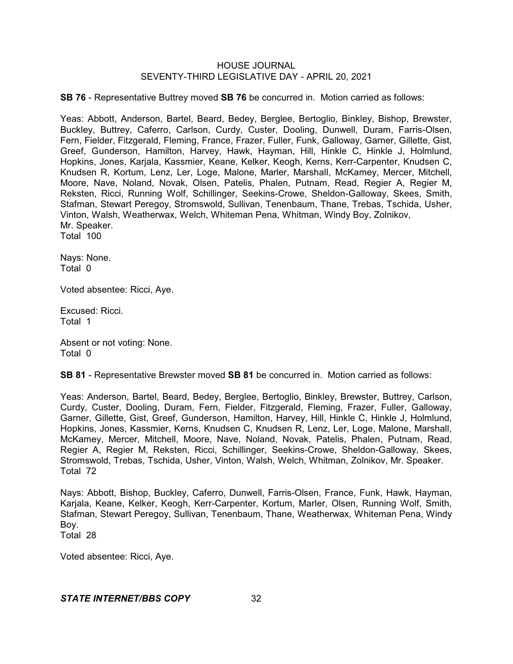**SB 76** - Representative Buttrey moved **SB 76** be concurred in. Motion carried as follows:

Yeas: Abbott, Anderson, Bartel, Beard, Bedey, Berglee, Bertoglio, Binkley, Bishop, Brewster, Buckley, Buttrey, Caferro, Carlson, Curdy, Custer, Dooling, Dunwell, Duram, Farris-Olsen, Fern, Fielder, Fitzgerald, Fleming, France, Frazer, Fuller, Funk, Galloway, Garner, Gillette, Gist, Greef, Gunderson, Hamilton, Harvey, Hawk, Hayman, Hill, Hinkle C, Hinkle J, Holmlund, Hopkins, Jones, Karjala, Kassmier, Keane, Kelker, Keogh, Kerns, Kerr-Carpenter, Knudsen C, Knudsen R, Kortum, Lenz, Ler, Loge, Malone, Marler, Marshall, McKamey, Mercer, Mitchell, Moore, Nave, Noland, Novak, Olsen, Patelis, Phalen, Putnam, Read, Regier A, Regier M, Reksten, Ricci, Running Wolf, Schillinger, Seekins-Crowe, Sheldon-Galloway, Skees, Smith, Stafman, Stewart Peregoy, Stromswold, Sullivan, Tenenbaum, Thane, Trebas, Tschida, Usher, Vinton, Walsh, Weatherwax, Welch, Whiteman Pena, Whitman, Windy Boy, Zolnikov, Mr. Speaker. Total 100

Nays: None. Total 0

Voted absentee: Ricci, Aye.

Excused: Ricci. Total 1

Absent or not voting: None. Total 0

**SB 81** - Representative Brewster moved **SB 81** be concurred in. Motion carried as follows:

Yeas: Anderson, Bartel, Beard, Bedey, Berglee, Bertoglio, Binkley, Brewster, Buttrey, Carlson, Curdy, Custer, Dooling, Duram, Fern, Fielder, Fitzgerald, Fleming, Frazer, Fuller, Galloway, Garner, Gillette, Gist, Greef, Gunderson, Hamilton, Harvey, Hill, Hinkle C, Hinkle J, Holmlund, Hopkins, Jones, Kassmier, Kerns, Knudsen C, Knudsen R, Lenz, Ler, Loge, Malone, Marshall, McKamey, Mercer, Mitchell, Moore, Nave, Noland, Novak, Patelis, Phalen, Putnam, Read, Regier A, Regier M, Reksten, Ricci, Schillinger, Seekins-Crowe, Sheldon-Galloway, Skees, Stromswold, Trebas, Tschida, Usher, Vinton, Walsh, Welch, Whitman, Zolnikov, Mr. Speaker. Total 72

Nays: Abbott, Bishop, Buckley, Caferro, Dunwell, Farris-Olsen, France, Funk, Hawk, Hayman, Karjala, Keane, Kelker, Keogh, Kerr-Carpenter, Kortum, Marler, Olsen, Running Wolf, Smith, Stafman, Stewart Peregoy, Sullivan, Tenenbaum, Thane, Weatherwax, Whiteman Pena, Windy Boy. Total 28

Voted absentee: Ricci, Aye.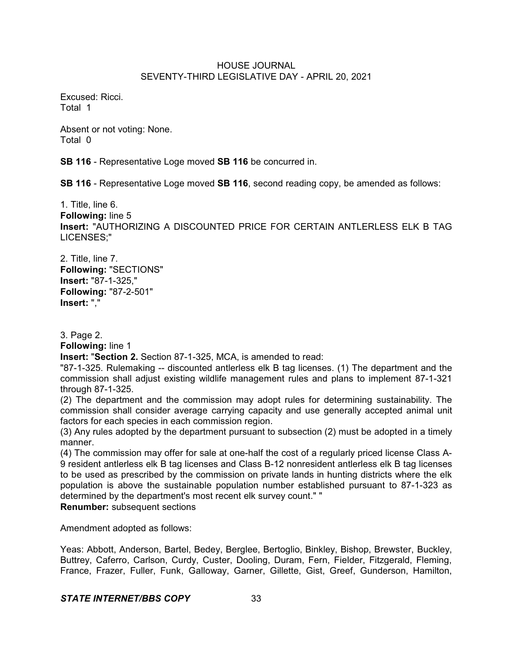Excused: Ricci. Total 1

Absent or not voting: None. Total 0

**SB 116** - Representative Loge moved **SB 116** be concurred in.

**SB 116** - Representative Loge moved **SB 116**, second reading copy, be amended as follows:

1. Title, line 6. **Following:** line 5 **Insert:** "AUTHORIZING A DISCOUNTED PRICE FOR CERTAIN ANTLERLESS ELK B TAG LICENSES;"

2. Title, line 7. **Following:** "SECTIONS" **Insert:** "87-1-325," **Following:** "87-2-501" **Insert:** ","

3. Page 2.

**Following:** line 1

**Insert:** "**Section 2.** Section 87-1-325, MCA, is amended to read:

"87-1-325. Rulemaking -- discounted antlerless elk B tag licenses. (1) The department and the commission shall adjust existing wildlife management rules and plans to implement 87-1-321 through 87-1-325.

(2) The department and the commission may adopt rules for determining sustainability. The commission shall consider average carrying capacity and use generally accepted animal unit factors for each species in each commission region.

(3) Any rules adopted by the department pursuant to subsection (2) must be adopted in a timely manner.

(4) The commission may offer for sale at one-half the cost of a regularly priced license Class A-9 resident antlerless elk B tag licenses and Class B-12 nonresident antlerless elk B tag licenses to be used as prescribed by the commission on private lands in hunting districts where the elk population is above the sustainable population number established pursuant to 87-1-323 as determined by the department's most recent elk survey count." "

**Renumber:** subsequent sections

Amendment adopted as follows:

Yeas: Abbott, Anderson, Bartel, Bedey, Berglee, Bertoglio, Binkley, Bishop, Brewster, Buckley, Buttrey, Caferro, Carlson, Curdy, Custer, Dooling, Duram, Fern, Fielder, Fitzgerald, Fleming, France, Frazer, Fuller, Funk, Galloway, Garner, Gillette, Gist, Greef, Gunderson, Hamilton,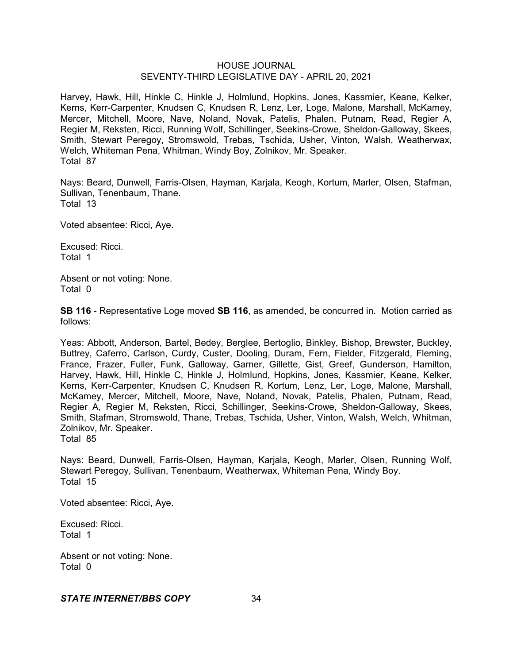Harvey, Hawk, Hill, Hinkle C, Hinkle J, Holmlund, Hopkins, Jones, Kassmier, Keane, Kelker, Kerns, Kerr-Carpenter, Knudsen C, Knudsen R, Lenz, Ler, Loge, Malone, Marshall, McKamey, Mercer, Mitchell, Moore, Nave, Noland, Novak, Patelis, Phalen, Putnam, Read, Regier A, Regier M, Reksten, Ricci, Running Wolf, Schillinger, Seekins-Crowe, Sheldon-Galloway, Skees, Smith, Stewart Peregoy, Stromswold, Trebas, Tschida, Usher, Vinton, Walsh, Weatherwax, Welch, Whiteman Pena, Whitman, Windy Boy, Zolnikov, Mr. Speaker. Total 87

Nays: Beard, Dunwell, Farris-Olsen, Hayman, Karjala, Keogh, Kortum, Marler, Olsen, Stafman, Sullivan, Tenenbaum, Thane. Total 13

Voted absentee: Ricci, Aye.

Excused: Ricci. Total 1

Absent or not voting: None. Total 0

**SB 116** - Representative Loge moved **SB 116**, as amended, be concurred in. Motion carried as follows:

Yeas: Abbott, Anderson, Bartel, Bedey, Berglee, Bertoglio, Binkley, Bishop, Brewster, Buckley, Buttrey, Caferro, Carlson, Curdy, Custer, Dooling, Duram, Fern, Fielder, Fitzgerald, Fleming, France, Frazer, Fuller, Funk, Galloway, Garner, Gillette, Gist, Greef, Gunderson, Hamilton, Harvey, Hawk, Hill, Hinkle C, Hinkle J, Holmlund, Hopkins, Jones, Kassmier, Keane, Kelker, Kerns, Kerr-Carpenter, Knudsen C, Knudsen R, Kortum, Lenz, Ler, Loge, Malone, Marshall, McKamey, Mercer, Mitchell, Moore, Nave, Noland, Novak, Patelis, Phalen, Putnam, Read, Regier A, Regier M, Reksten, Ricci, Schillinger, Seekins-Crowe, Sheldon-Galloway, Skees, Smith, Stafman, Stromswold, Thane, Trebas, Tschida, Usher, Vinton, Walsh, Welch, Whitman, Zolnikov, Mr. Speaker. Total 85

Nays: Beard, Dunwell, Farris-Olsen, Hayman, Karjala, Keogh, Marler, Olsen, Running Wolf, Stewart Peregoy, Sullivan, Tenenbaum, Weatherwax, Whiteman Pena, Windy Boy. Total 15

Voted absentee: Ricci, Aye.

Excused: Ricci. Total 1

Absent or not voting: None. Total 0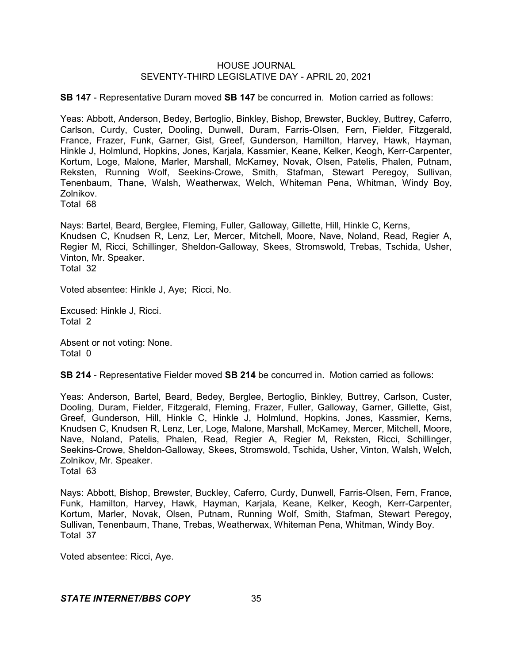**SB 147** - Representative Duram moved **SB 147** be concurred in. Motion carried as follows:

Yeas: Abbott, Anderson, Bedey, Bertoglio, Binkley, Bishop, Brewster, Buckley, Buttrey, Caferro, Carlson, Curdy, Custer, Dooling, Dunwell, Duram, Farris-Olsen, Fern, Fielder, Fitzgerald, France, Frazer, Funk, Garner, Gist, Greef, Gunderson, Hamilton, Harvey, Hawk, Hayman, Hinkle J, Holmlund, Hopkins, Jones, Karjala, Kassmier, Keane, Kelker, Keogh, Kerr-Carpenter, Kortum, Loge, Malone, Marler, Marshall, McKamey, Novak, Olsen, Patelis, Phalen, Putnam, Reksten, Running Wolf, Seekins-Crowe, Smith, Stafman, Stewart Peregoy, Sullivan, Tenenbaum, Thane, Walsh, Weatherwax, Welch, Whiteman Pena, Whitman, Windy Boy, Zolnikov.

Total 68

Nays: Bartel, Beard, Berglee, Fleming, Fuller, Galloway, Gillette, Hill, Hinkle C, Kerns, Knudsen C, Knudsen R, Lenz, Ler, Mercer, Mitchell, Moore, Nave, Noland, Read, Regier A, Regier M, Ricci, Schillinger, Sheldon-Galloway, Skees, Stromswold, Trebas, Tschida, Usher, Vinton, Mr. Speaker.

Total 32

Voted absentee: Hinkle J, Aye; Ricci, No.

Excused: Hinkle J, Ricci. Total 2

Absent or not voting: None. Total 0

**SB 214** - Representative Fielder moved **SB 214** be concurred in. Motion carried as follows:

Yeas: Anderson, Bartel, Beard, Bedey, Berglee, Bertoglio, Binkley, Buttrey, Carlson, Custer, Dooling, Duram, Fielder, Fitzgerald, Fleming, Frazer, Fuller, Galloway, Garner, Gillette, Gist, Greef, Gunderson, Hill, Hinkle C, Hinkle J, Holmlund, Hopkins, Jones, Kassmier, Kerns, Knudsen C, Knudsen R, Lenz, Ler, Loge, Malone, Marshall, McKamey, Mercer, Mitchell, Moore, Nave, Noland, Patelis, Phalen, Read, Regier A, Regier M, Reksten, Ricci, Schillinger, Seekins-Crowe, Sheldon-Galloway, Skees, Stromswold, Tschida, Usher, Vinton, Walsh, Welch, Zolnikov, Mr. Speaker. Total 63

Nays: Abbott, Bishop, Brewster, Buckley, Caferro, Curdy, Dunwell, Farris-Olsen, Fern, France, Funk, Hamilton, Harvey, Hawk, Hayman, Karjala, Keane, Kelker, Keogh, Kerr-Carpenter, Kortum, Marler, Novak, Olsen, Putnam, Running Wolf, Smith, Stafman, Stewart Peregoy, Sullivan, Tenenbaum, Thane, Trebas, Weatherwax, Whiteman Pena, Whitman, Windy Boy. Total 37

Voted absentee: Ricci, Aye.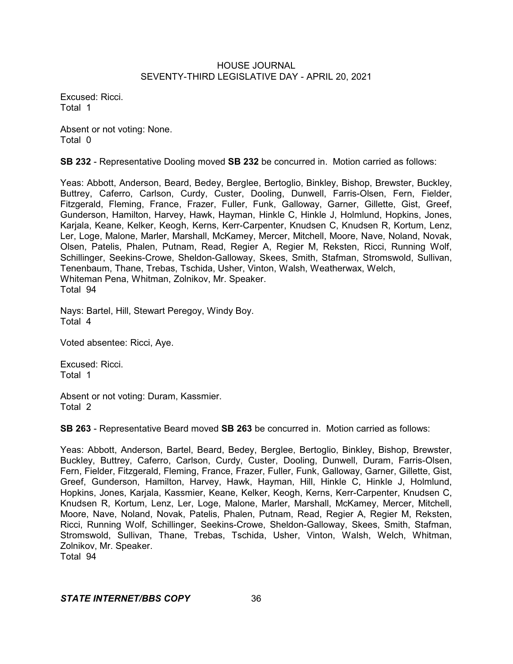Excused: Ricci. Total 1

Absent or not voting: None. Total 0

**SB 232** - Representative Dooling moved **SB 232** be concurred in. Motion carried as follows:

Yeas: Abbott, Anderson, Beard, Bedey, Berglee, Bertoglio, Binkley, Bishop, Brewster, Buckley, Buttrey, Caferro, Carlson, Curdy, Custer, Dooling, Dunwell, Farris-Olsen, Fern, Fielder, Fitzgerald, Fleming, France, Frazer, Fuller, Funk, Galloway, Garner, Gillette, Gist, Greef, Gunderson, Hamilton, Harvey, Hawk, Hayman, Hinkle C, Hinkle J, Holmlund, Hopkins, Jones, Karjala, Keane, Kelker, Keogh, Kerns, Kerr-Carpenter, Knudsen C, Knudsen R, Kortum, Lenz, Ler, Loge, Malone, Marler, Marshall, McKamey, Mercer, Mitchell, Moore, Nave, Noland, Novak, Olsen, Patelis, Phalen, Putnam, Read, Regier A, Regier M, Reksten, Ricci, Running Wolf, Schillinger, Seekins-Crowe, Sheldon-Galloway, Skees, Smith, Stafman, Stromswold, Sullivan, Tenenbaum, Thane, Trebas, Tschida, Usher, Vinton, Walsh, Weatherwax, Welch, Whiteman Pena, Whitman, Zolnikov, Mr. Speaker. Total 94

Nays: Bartel, Hill, Stewart Peregoy, Windy Boy. Total 4

Voted absentee: Ricci, Aye.

Excused: Ricci. Total 1

Absent or not voting: Duram, Kassmier. Total 2

**SB 263** - Representative Beard moved **SB 263** be concurred in. Motion carried as follows:

Yeas: Abbott, Anderson, Bartel, Beard, Bedey, Berglee, Bertoglio, Binkley, Bishop, Brewster, Buckley, Buttrey, Caferro, Carlson, Curdy, Custer, Dooling, Dunwell, Duram, Farris-Olsen, Fern, Fielder, Fitzgerald, Fleming, France, Frazer, Fuller, Funk, Galloway, Garner, Gillette, Gist, Greef, Gunderson, Hamilton, Harvey, Hawk, Hayman, Hill, Hinkle C, Hinkle J, Holmlund, Hopkins, Jones, Karjala, Kassmier, Keane, Kelker, Keogh, Kerns, Kerr-Carpenter, Knudsen C, Knudsen R, Kortum, Lenz, Ler, Loge, Malone, Marler, Marshall, McKamey, Mercer, Mitchell, Moore, Nave, Noland, Novak, Patelis, Phalen, Putnam, Read, Regier A, Regier M, Reksten, Ricci, Running Wolf, Schillinger, Seekins-Crowe, Sheldon-Galloway, Skees, Smith, Stafman, Stromswold, Sullivan, Thane, Trebas, Tschida, Usher, Vinton, Walsh, Welch, Whitman, Zolnikov, Mr. Speaker. Total 94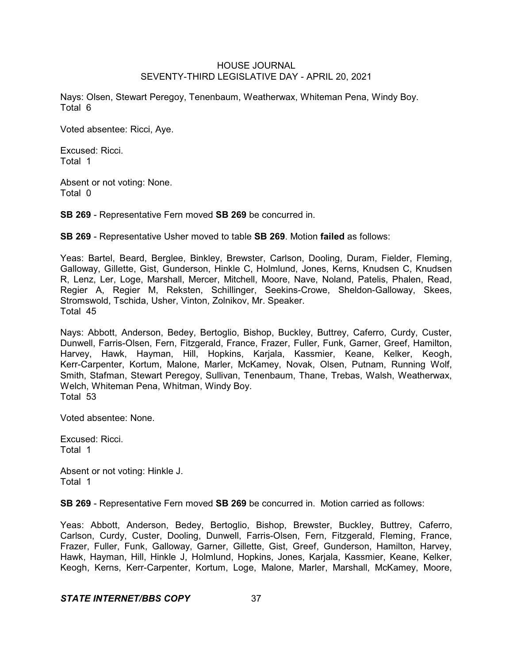Nays: Olsen, Stewart Peregoy, Tenenbaum, Weatherwax, Whiteman Pena, Windy Boy. Total 6

Voted absentee: Ricci, Aye.

Excused: Ricci. Total 1

Absent or not voting: None. Total 0

**SB 269** - Representative Fern moved **SB 269** be concurred in.

**SB 269** - Representative Usher moved to table **SB 269**. Motion **failed** as follows:

Yeas: Bartel, Beard, Berglee, Binkley, Brewster, Carlson, Dooling, Duram, Fielder, Fleming, Galloway, Gillette, Gist, Gunderson, Hinkle C, Holmlund, Jones, Kerns, Knudsen C, Knudsen R, Lenz, Ler, Loge, Marshall, Mercer, Mitchell, Moore, Nave, Noland, Patelis, Phalen, Read, Regier A, Regier M, Reksten, Schillinger, Seekins-Crowe, Sheldon-Galloway, Skees, Stromswold, Tschida, Usher, Vinton, Zolnikov, Mr. Speaker. Total 45

Nays: Abbott, Anderson, Bedey, Bertoglio, Bishop, Buckley, Buttrey, Caferro, Curdy, Custer, Dunwell, Farris-Olsen, Fern, Fitzgerald, France, Frazer, Fuller, Funk, Garner, Greef, Hamilton, Harvey, Hawk, Hayman, Hill, Hopkins, Karjala, Kassmier, Keane, Kelker, Keogh, Kerr-Carpenter, Kortum, Malone, Marler, McKamey, Novak, Olsen, Putnam, Running Wolf, Smith, Stafman, Stewart Peregoy, Sullivan, Tenenbaum, Thane, Trebas, Walsh, Weatherwax, Welch, Whiteman Pena, Whitman, Windy Boy. Total 53

Voted absentee: None.

Excused: Ricci. Total 1

Absent or not voting: Hinkle J. Total 1

**SB 269** - Representative Fern moved **SB 269** be concurred in. Motion carried as follows:

Yeas: Abbott, Anderson, Bedey, Bertoglio, Bishop, Brewster, Buckley, Buttrey, Caferro, Carlson, Curdy, Custer, Dooling, Dunwell, Farris-Olsen, Fern, Fitzgerald, Fleming, France, Frazer, Fuller, Funk, Galloway, Garner, Gillette, Gist, Greef, Gunderson, Hamilton, Harvey, Hawk, Hayman, Hill, Hinkle J, Holmlund, Hopkins, Jones, Karjala, Kassmier, Keane, Kelker, Keogh, Kerns, Kerr-Carpenter, Kortum, Loge, Malone, Marler, Marshall, McKamey, Moore,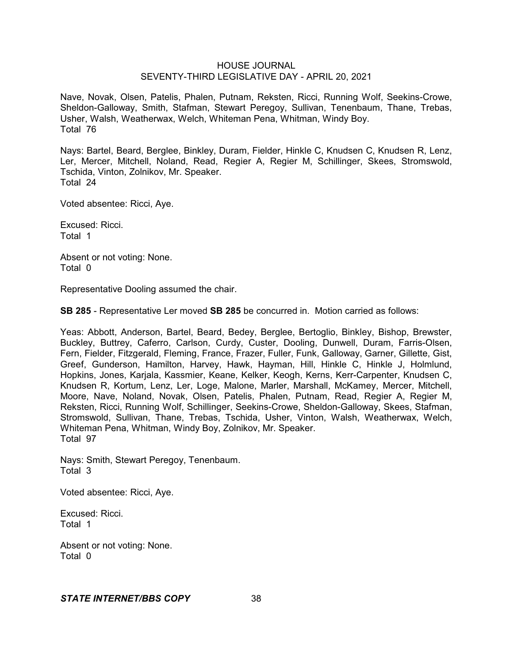Nave, Novak, Olsen, Patelis, Phalen, Putnam, Reksten, Ricci, Running Wolf, Seekins-Crowe, Sheldon-Galloway, Smith, Stafman, Stewart Peregoy, Sullivan, Tenenbaum, Thane, Trebas, Usher, Walsh, Weatherwax, Welch, Whiteman Pena, Whitman, Windy Boy. Total 76

Nays: Bartel, Beard, Berglee, Binkley, Duram, Fielder, Hinkle C, Knudsen C, Knudsen R, Lenz, Ler, Mercer, Mitchell, Noland, Read, Regier A, Regier M, Schillinger, Skees, Stromswold, Tschida, Vinton, Zolnikov, Mr. Speaker. Total 24

Voted absentee: Ricci, Aye.

Excused: Ricci. Total 1

Absent or not voting: None. Total 0

Representative Dooling assumed the chair.

**SB 285** - Representative Ler moved **SB 285** be concurred in. Motion carried as follows:

Yeas: Abbott, Anderson, Bartel, Beard, Bedey, Berglee, Bertoglio, Binkley, Bishop, Brewster, Buckley, Buttrey, Caferro, Carlson, Curdy, Custer, Dooling, Dunwell, Duram, Farris-Olsen, Fern, Fielder, Fitzgerald, Fleming, France, Frazer, Fuller, Funk, Galloway, Garner, Gillette, Gist, Greef, Gunderson, Hamilton, Harvey, Hawk, Hayman, Hill, Hinkle C, Hinkle J, Holmlund, Hopkins, Jones, Karjala, Kassmier, Keane, Kelker, Keogh, Kerns, Kerr-Carpenter, Knudsen C, Knudsen R, Kortum, Lenz, Ler, Loge, Malone, Marler, Marshall, McKamey, Mercer, Mitchell, Moore, Nave, Noland, Novak, Olsen, Patelis, Phalen, Putnam, Read, Regier A, Regier M, Reksten, Ricci, Running Wolf, Schillinger, Seekins-Crowe, Sheldon-Galloway, Skees, Stafman, Stromswold, Sullivan, Thane, Trebas, Tschida, Usher, Vinton, Walsh, Weatherwax, Welch, Whiteman Pena, Whitman, Windy Boy, Zolnikov, Mr. Speaker. Total 97

Nays: Smith, Stewart Peregoy, Tenenbaum. Total 3

Voted absentee: Ricci, Aye.

Excused: Ricci. Total 1

Absent or not voting: None. Total 0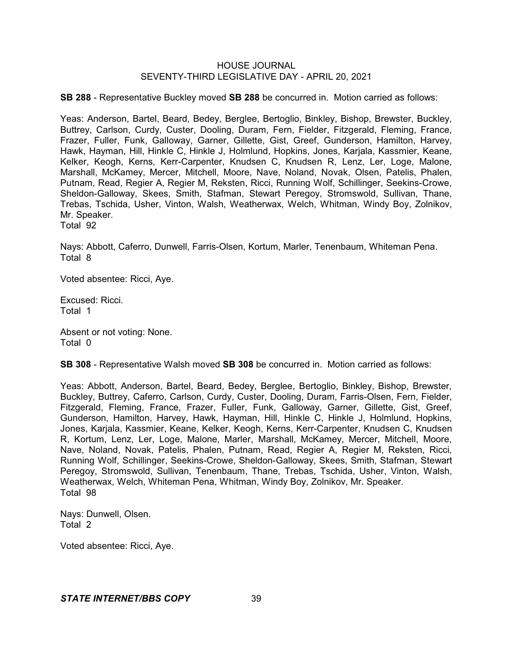**SB 288** - Representative Buckley moved **SB 288** be concurred in. Motion carried as follows:

Yeas: Anderson, Bartel, Beard, Bedey, Berglee, Bertoglio, Binkley, Bishop, Brewster, Buckley, Buttrey, Carlson, Curdy, Custer, Dooling, Duram, Fern, Fielder, Fitzgerald, Fleming, France, Frazer, Fuller, Funk, Galloway, Garner, Gillette, Gist, Greef, Gunderson, Hamilton, Harvey, Hawk, Hayman, Hill, Hinkle C, Hinkle J, Holmlund, Hopkins, Jones, Karjala, Kassmier, Keane, Kelker, Keogh, Kerns, Kerr-Carpenter, Knudsen C, Knudsen R, Lenz, Ler, Loge, Malone, Marshall, McKamey, Mercer, Mitchell, Moore, Nave, Noland, Novak, Olsen, Patelis, Phalen, Putnam, Read, Regier A, Regier M, Reksten, Ricci, Running Wolf, Schillinger, Seekins-Crowe, Sheldon-Galloway, Skees, Smith, Stafman, Stewart Peregoy, Stromswold, Sullivan, Thane, Trebas, Tschida, Usher, Vinton, Walsh, Weatherwax, Welch, Whitman, Windy Boy, Zolnikov, Mr. Speaker.

Total 92

Nays: Abbott, Caferro, Dunwell, Farris-Olsen, Kortum, Marler, Tenenbaum, Whiteman Pena. Total 8

Voted absentee: Ricci, Aye.

Excused: Ricci. Total 1

Absent or not voting: None. Total 0

**SB 308** - Representative Walsh moved **SB 308** be concurred in. Motion carried as follows:

Yeas: Abbott, Anderson, Bartel, Beard, Bedey, Berglee, Bertoglio, Binkley, Bishop, Brewster, Buckley, Buttrey, Caferro, Carlson, Curdy, Custer, Dooling, Duram, Farris-Olsen, Fern, Fielder, Fitzgerald, Fleming, France, Frazer, Fuller, Funk, Galloway, Garner, Gillette, Gist, Greef, Gunderson, Hamilton, Harvey, Hawk, Hayman, Hill, Hinkle C, Hinkle J, Holmlund, Hopkins, Jones, Karjala, Kassmier, Keane, Kelker, Keogh, Kerns, Kerr-Carpenter, Knudsen C, Knudsen R, Kortum, Lenz, Ler, Loge, Malone, Marler, Marshall, McKamey, Mercer, Mitchell, Moore, Nave, Noland, Novak, Patelis, Phalen, Putnam, Read, Regier A, Regier M, Reksten, Ricci, Running Wolf, Schillinger, Seekins-Crowe, Sheldon-Galloway, Skees, Smith, Stafman, Stewart Peregoy, Stromswold, Sullivan, Tenenbaum, Thane, Trebas, Tschida, Usher, Vinton, Walsh, Weatherwax, Welch, Whiteman Pena, Whitman, Windy Boy, Zolnikov, Mr. Speaker. Total 98

Nays: Dunwell, Olsen. Total 2

Voted absentee: Ricci, Aye.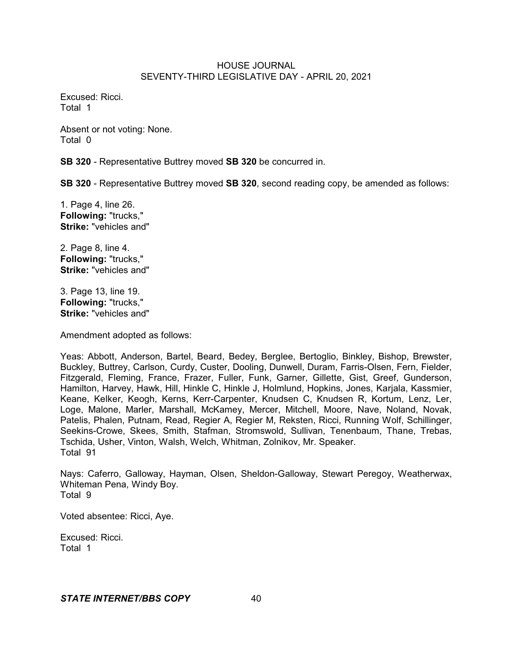Excused: Ricci. Total 1

Absent or not voting: None. Total 0

**SB 320** - Representative Buttrey moved **SB 320** be concurred in.

**SB 320** - Representative Buttrey moved **SB 320**, second reading copy, be amended as follows:

1. Page 4, line 26. **Following:** "trucks," **Strike:** "vehicles and"

2. Page 8, line 4. **Following:** "trucks," **Strike:** "vehicles and"

3. Page 13, line 19. **Following:** "trucks," **Strike:** "vehicles and"

Amendment adopted as follows:

Yeas: Abbott, Anderson, Bartel, Beard, Bedey, Berglee, Bertoglio, Binkley, Bishop, Brewster, Buckley, Buttrey, Carlson, Curdy, Custer, Dooling, Dunwell, Duram, Farris-Olsen, Fern, Fielder, Fitzgerald, Fleming, France, Frazer, Fuller, Funk, Garner, Gillette, Gist, Greef, Gunderson, Hamilton, Harvey, Hawk, Hill, Hinkle C, Hinkle J, Holmlund, Hopkins, Jones, Karjala, Kassmier, Keane, Kelker, Keogh, Kerns, Kerr-Carpenter, Knudsen C, Knudsen R, Kortum, Lenz, Ler, Loge, Malone, Marler, Marshall, McKamey, Mercer, Mitchell, Moore, Nave, Noland, Novak, Patelis, Phalen, Putnam, Read, Regier A, Regier M, Reksten, Ricci, Running Wolf, Schillinger, Seekins-Crowe, Skees, Smith, Stafman, Stromswold, Sullivan, Tenenbaum, Thane, Trebas, Tschida, Usher, Vinton, Walsh, Welch, Whitman, Zolnikov, Mr. Speaker. Total 91

Nays: Caferro, Galloway, Hayman, Olsen, Sheldon-Galloway, Stewart Peregoy, Weatherwax, Whiteman Pena, Windy Boy. Total 9

Voted absentee: Ricci, Aye.

Excused: Ricci. Total 1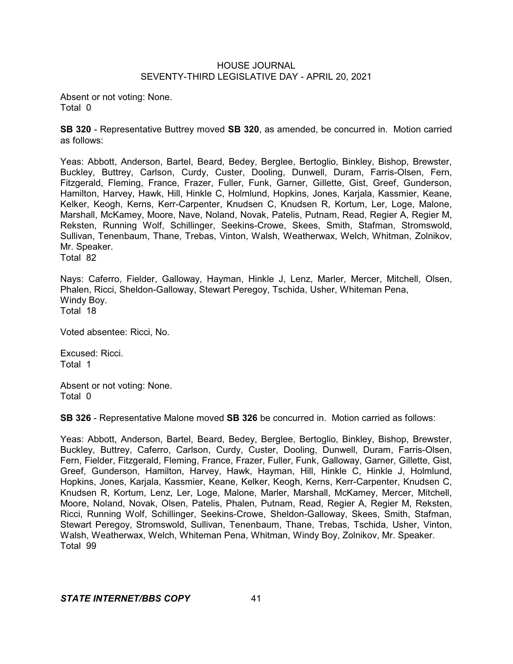Absent or not voting: None. Total 0

**SB 320** - Representative Buttrey moved **SB 320**, as amended, be concurred in. Motion carried as follows:

Yeas: Abbott, Anderson, Bartel, Beard, Bedey, Berglee, Bertoglio, Binkley, Bishop, Brewster, Buckley, Buttrey, Carlson, Curdy, Custer, Dooling, Dunwell, Duram, Farris-Olsen, Fern, Fitzgerald, Fleming, France, Frazer, Fuller, Funk, Garner, Gillette, Gist, Greef, Gunderson, Hamilton, Harvey, Hawk, Hill, Hinkle C, Holmlund, Hopkins, Jones, Karjala, Kassmier, Keane, Kelker, Keogh, Kerns, Kerr-Carpenter, Knudsen C, Knudsen R, Kortum, Ler, Loge, Malone, Marshall, McKamey, Moore, Nave, Noland, Novak, Patelis, Putnam, Read, Regier A, Regier M, Reksten, Running Wolf, Schillinger, Seekins-Crowe, Skees, Smith, Stafman, Stromswold, Sullivan, Tenenbaum, Thane, Trebas, Vinton, Walsh, Weatherwax, Welch, Whitman, Zolnikov, Mr. Speaker. Total 82

Nays: Caferro, Fielder, Galloway, Hayman, Hinkle J, Lenz, Marler, Mercer, Mitchell, Olsen, Phalen, Ricci, Sheldon-Galloway, Stewart Peregoy, Tschida, Usher, Whiteman Pena, Windy Boy. Total 18

Voted absentee: Ricci, No.

Excused: Ricci. Total 1

Absent or not voting: None. Total 0

**SB 326** - Representative Malone moved **SB 326** be concurred in. Motion carried as follows:

Yeas: Abbott, Anderson, Bartel, Beard, Bedey, Berglee, Bertoglio, Binkley, Bishop, Brewster, Buckley, Buttrey, Caferro, Carlson, Curdy, Custer, Dooling, Dunwell, Duram, Farris-Olsen, Fern, Fielder, Fitzgerald, Fleming, France, Frazer, Fuller, Funk, Galloway, Garner, Gillette, Gist, Greef, Gunderson, Hamilton, Harvey, Hawk, Hayman, Hill, Hinkle C, Hinkle J, Holmlund, Hopkins, Jones, Karjala, Kassmier, Keane, Kelker, Keogh, Kerns, Kerr-Carpenter, Knudsen C, Knudsen R, Kortum, Lenz, Ler, Loge, Malone, Marler, Marshall, McKamey, Mercer, Mitchell, Moore, Noland, Novak, Olsen, Patelis, Phalen, Putnam, Read, Regier A, Regier M, Reksten, Ricci, Running Wolf, Schillinger, Seekins-Crowe, Sheldon-Galloway, Skees, Smith, Stafman, Stewart Peregoy, Stromswold, Sullivan, Tenenbaum, Thane, Trebas, Tschida, Usher, Vinton, Walsh, Weatherwax, Welch, Whiteman Pena, Whitman, Windy Boy, Zolnikov, Mr. Speaker. Total 99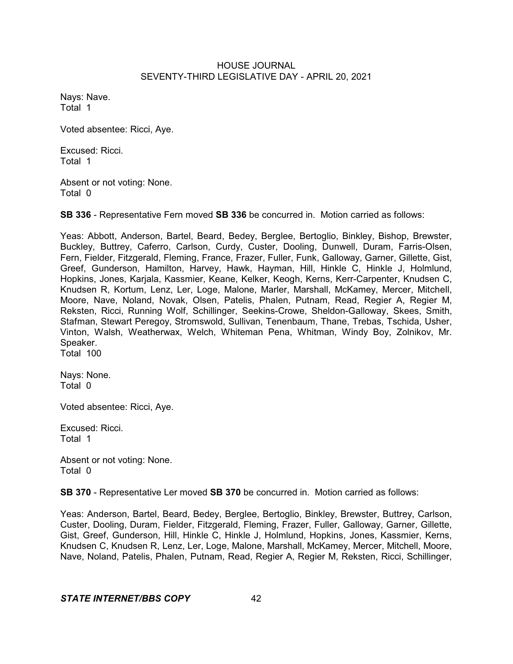Nays: Nave. Total 1

Voted absentee: Ricci, Aye.

Excused: Ricci. Total 1

Absent or not voting: None. Total 0

**SB 336** - Representative Fern moved **SB 336** be concurred in. Motion carried as follows:

Yeas: Abbott, Anderson, Bartel, Beard, Bedey, Berglee, Bertoglio, Binkley, Bishop, Brewster, Buckley, Buttrey, Caferro, Carlson, Curdy, Custer, Dooling, Dunwell, Duram, Farris-Olsen, Fern, Fielder, Fitzgerald, Fleming, France, Frazer, Fuller, Funk, Galloway, Garner, Gillette, Gist, Greef, Gunderson, Hamilton, Harvey, Hawk, Hayman, Hill, Hinkle C, Hinkle J, Holmlund, Hopkins, Jones, Karjala, Kassmier, Keane, Kelker, Keogh, Kerns, Kerr-Carpenter, Knudsen C, Knudsen R, Kortum, Lenz, Ler, Loge, Malone, Marler, Marshall, McKamey, Mercer, Mitchell, Moore, Nave, Noland, Novak, Olsen, Patelis, Phalen, Putnam, Read, Regier A, Regier M, Reksten, Ricci, Running Wolf, Schillinger, Seekins-Crowe, Sheldon-Galloway, Skees, Smith, Stafman, Stewart Peregoy, Stromswold, Sullivan, Tenenbaum, Thane, Trebas, Tschida, Usher, Vinton, Walsh, Weatherwax, Welch, Whiteman Pena, Whitman, Windy Boy, Zolnikov, Mr. Speaker. Total 100

Nays: None. Total 0

Voted absentee: Ricci, Aye.

Excused: Ricci. Total 1

Absent or not voting: None. Total 0

**SB 370** - Representative Ler moved **SB 370** be concurred in. Motion carried as follows:

Yeas: Anderson, Bartel, Beard, Bedey, Berglee, Bertoglio, Binkley, Brewster, Buttrey, Carlson, Custer, Dooling, Duram, Fielder, Fitzgerald, Fleming, Frazer, Fuller, Galloway, Garner, Gillette, Gist, Greef, Gunderson, Hill, Hinkle C, Hinkle J, Holmlund, Hopkins, Jones, Kassmier, Kerns, Knudsen C, Knudsen R, Lenz, Ler, Loge, Malone, Marshall, McKamey, Mercer, Mitchell, Moore, Nave, Noland, Patelis, Phalen, Putnam, Read, Regier A, Regier M, Reksten, Ricci, Schillinger,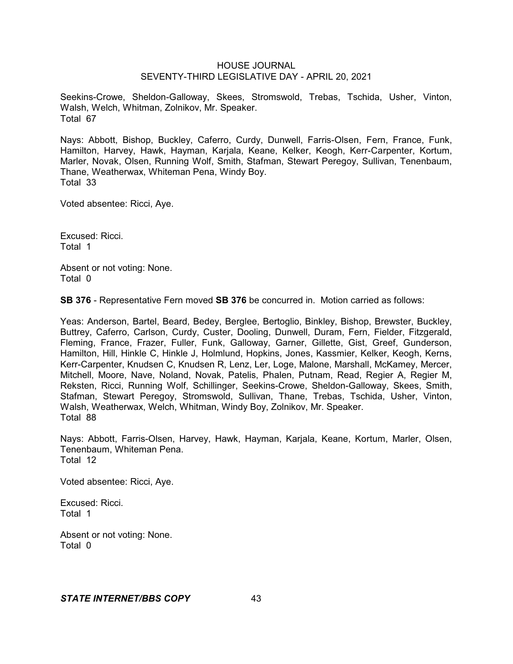Seekins-Crowe, Sheldon-Galloway, Skees, Stromswold, Trebas, Tschida, Usher, Vinton, Walsh, Welch, Whitman, Zolnikov, Mr. Speaker. Total 67

Nays: Abbott, Bishop, Buckley, Caferro, Curdy, Dunwell, Farris-Olsen, Fern, France, Funk, Hamilton, Harvey, Hawk, Hayman, Karjala, Keane, Kelker, Keogh, Kerr-Carpenter, Kortum, Marler, Novak, Olsen, Running Wolf, Smith, Stafman, Stewart Peregoy, Sullivan, Tenenbaum, Thane, Weatherwax, Whiteman Pena, Windy Boy. Total 33

Voted absentee: Ricci, Aye.

Excused: Ricci. Total 1

Absent or not voting: None. Total 0

**SB 376** - Representative Fern moved **SB 376** be concurred in. Motion carried as follows:

Yeas: Anderson, Bartel, Beard, Bedey, Berglee, Bertoglio, Binkley, Bishop, Brewster, Buckley, Buttrey, Caferro, Carlson, Curdy, Custer, Dooling, Dunwell, Duram, Fern, Fielder, Fitzgerald, Fleming, France, Frazer, Fuller, Funk, Galloway, Garner, Gillette, Gist, Greef, Gunderson, Hamilton, Hill, Hinkle C, Hinkle J, Holmlund, Hopkins, Jones, Kassmier, Kelker, Keogh, Kerns, Kerr-Carpenter, Knudsen C, Knudsen R, Lenz, Ler, Loge, Malone, Marshall, McKamey, Mercer, Mitchell, Moore, Nave, Noland, Novak, Patelis, Phalen, Putnam, Read, Regier A, Regier M, Reksten, Ricci, Running Wolf, Schillinger, Seekins-Crowe, Sheldon-Galloway, Skees, Smith, Stafman, Stewart Peregoy, Stromswold, Sullivan, Thane, Trebas, Tschida, Usher, Vinton, Walsh, Weatherwax, Welch, Whitman, Windy Boy, Zolnikov, Mr. Speaker. Total 88

Nays: Abbott, Farris-Olsen, Harvey, Hawk, Hayman, Karjala, Keane, Kortum, Marler, Olsen, Tenenbaum, Whiteman Pena. Total 12

Voted absentee: Ricci, Aye.

Excused: Ricci. Total 1

Absent or not voting: None. Total 0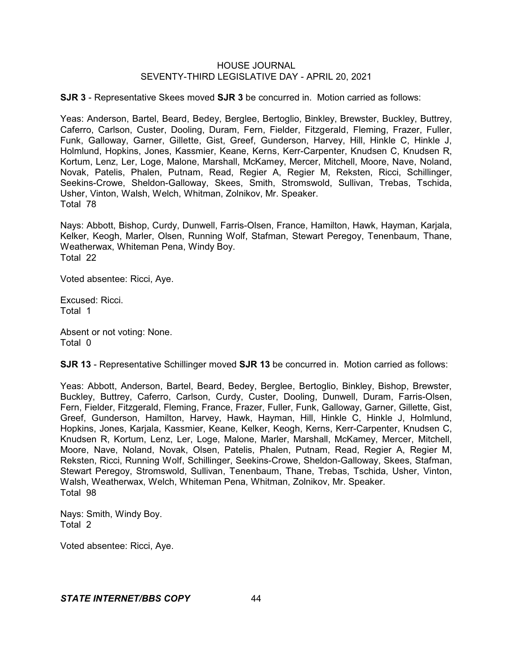**SJR 3** - Representative Skees moved **SJR 3** be concurred in. Motion carried as follows:

Yeas: Anderson, Bartel, Beard, Bedey, Berglee, Bertoglio, Binkley, Brewster, Buckley, Buttrey, Caferro, Carlson, Custer, Dooling, Duram, Fern, Fielder, Fitzgerald, Fleming, Frazer, Fuller, Funk, Galloway, Garner, Gillette, Gist, Greef, Gunderson, Harvey, Hill, Hinkle C, Hinkle J, Holmlund, Hopkins, Jones, Kassmier, Keane, Kerns, Kerr-Carpenter, Knudsen C, Knudsen R, Kortum, Lenz, Ler, Loge, Malone, Marshall, McKamey, Mercer, Mitchell, Moore, Nave, Noland, Novak, Patelis, Phalen, Putnam, Read, Regier A, Regier M, Reksten, Ricci, Schillinger, Seekins-Crowe, Sheldon-Galloway, Skees, Smith, Stromswold, Sullivan, Trebas, Tschida, Usher, Vinton, Walsh, Welch, Whitman, Zolnikov, Mr. Speaker. Total 78

Nays: Abbott, Bishop, Curdy, Dunwell, Farris-Olsen, France, Hamilton, Hawk, Hayman, Karjala, Kelker, Keogh, Marler, Olsen, Running Wolf, Stafman, Stewart Peregoy, Tenenbaum, Thane, Weatherwax, Whiteman Pena, Windy Boy. Total 22

Voted absentee: Ricci, Aye.

Excused: Ricci. Total 1

Absent or not voting: None. Total 0

**SJR 13** - Representative Schillinger moved **SJR 13** be concurred in. Motion carried as follows:

Yeas: Abbott, Anderson, Bartel, Beard, Bedey, Berglee, Bertoglio, Binkley, Bishop, Brewster, Buckley, Buttrey, Caferro, Carlson, Curdy, Custer, Dooling, Dunwell, Duram, Farris-Olsen, Fern, Fielder, Fitzgerald, Fleming, France, Frazer, Fuller, Funk, Galloway, Garner, Gillette, Gist, Greef, Gunderson, Hamilton, Harvey, Hawk, Hayman, Hill, Hinkle C, Hinkle J, Holmlund, Hopkins, Jones, Karjala, Kassmier, Keane, Kelker, Keogh, Kerns, Kerr-Carpenter, Knudsen C, Knudsen R, Kortum, Lenz, Ler, Loge, Malone, Marler, Marshall, McKamey, Mercer, Mitchell, Moore, Nave, Noland, Novak, Olsen, Patelis, Phalen, Putnam, Read, Regier A, Regier M, Reksten, Ricci, Running Wolf, Schillinger, Seekins-Crowe, Sheldon-Galloway, Skees, Stafman, Stewart Peregoy, Stromswold, Sullivan, Tenenbaum, Thane, Trebas, Tschida, Usher, Vinton, Walsh, Weatherwax, Welch, Whiteman Pena, Whitman, Zolnikov, Mr. Speaker. Total 98

Nays: Smith, Windy Boy. Total 2

Voted absentee: Ricci, Aye.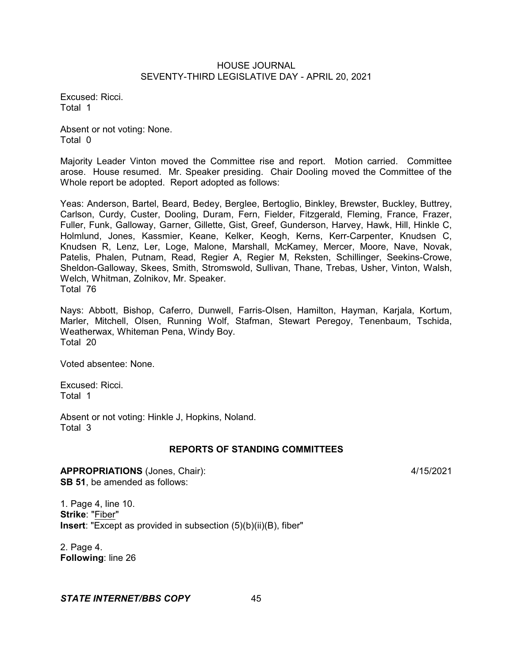Excused: Ricci. Total 1

Absent or not voting: None. Total 0

Majority Leader Vinton moved the Committee rise and report. Motion carried. Committee arose. House resumed. Mr. Speaker presiding. Chair Dooling moved the Committee of the Whole report be adopted. Report adopted as follows:

Yeas: Anderson, Bartel, Beard, Bedey, Berglee, Bertoglio, Binkley, Brewster, Buckley, Buttrey, Carlson, Curdy, Custer, Dooling, Duram, Fern, Fielder, Fitzgerald, Fleming, France, Frazer, Fuller, Funk, Galloway, Garner, Gillette, Gist, Greef, Gunderson, Harvey, Hawk, Hill, Hinkle C, Holmlund, Jones, Kassmier, Keane, Kelker, Keogh, Kerns, Kerr-Carpenter, Knudsen C, Knudsen R, Lenz, Ler, Loge, Malone, Marshall, McKamey, Mercer, Moore, Nave, Novak, Patelis, Phalen, Putnam, Read, Regier A, Regier M, Reksten, Schillinger, Seekins-Crowe, Sheldon-Galloway, Skees, Smith, Stromswold, Sullivan, Thane, Trebas, Usher, Vinton, Walsh, Welch, Whitman, Zolnikov, Mr. Speaker. Total 76

Nays: Abbott, Bishop, Caferro, Dunwell, Farris-Olsen, Hamilton, Hayman, Karjala, Kortum, Marler, Mitchell, Olsen, Running Wolf, Stafman, Stewart Peregoy, Tenenbaum, Tschida, Weatherwax, Whiteman Pena, Windy Boy. Total 20

Voted absentee: None.

Excused: Ricci. Total 1

Absent or not voting: Hinkle J, Hopkins, Noland. Total 3

## **REPORTS OF STANDING COMMITTEES**

**APPROPRIATIONS** (Jones, Chair): 4/15/2021 **SB 51**, be amended as follows:

1. Page 4, line 10. **Strike**: "Fiber" **Insert**: "Except as provided in subsection (5)(b)(ii)(B), fiber"

2. Page 4. **Following**: line 26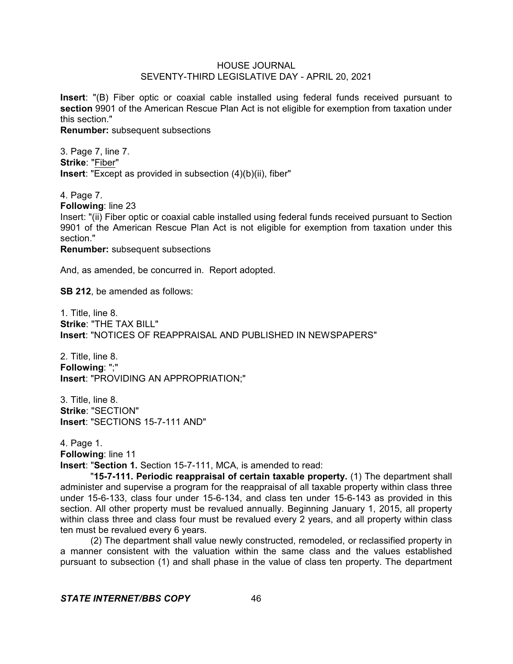**Insert**: "(B) Fiber optic or coaxial cable installed using federal funds received pursuant to **section** 9901 of the American Rescue Plan Act is not eligible for exemption from taxation under this section."

**Renumber:** subsequent subsections

3. Page 7, line 7. **Strike**: "Fiber" **Insert**: "Except as provided in subsection (4)(b)(ii), fiber"

4. Page 7.

**Following**: line 23

Insert: "(ii) Fiber optic or coaxial cable installed using federal funds received pursuant to Section 9901 of the American Rescue Plan Act is not eligible for exemption from taxation under this section."

**Renumber:** subsequent subsections

And, as amended, be concurred in. Report adopted.

**SB 212**, be amended as follows:

1. Title, line 8. **Strike**: "THE TAX BILL" **Insert**: "NOTICES OF REAPPRAISAL AND PUBLISHED IN NEWSPAPERS"

2. Title, line 8. **Following**: ";" **Insert**: "PROVIDING AN APPROPRIATION;"

3. Title, line 8. **Strike**: "SECTION" **Insert**: "SECTIONS 15-7-111 AND"

4. Page 1. **Following**: line 11 **Insert**: "**Section 1.** Section 15-7-111, MCA, is amended to read:

"**15-7-111. Periodic reappraisal of certain taxable property.** (1) The department shall administer and supervise a program for the reappraisal of all taxable property within class three under 15-6-133, class four under 15-6-134, and class ten under 15-6-143 as provided in this section. All other property must be revalued annually. Beginning January 1, 2015, all property within class three and class four must be revalued every 2 years, and all property within class ten must be revalued every 6 years.

(2) The department shall value newly constructed, remodeled, or reclassified property in a manner consistent with the valuation within the same class and the values established pursuant to subsection (1) and shall phase in the value of class ten property. The department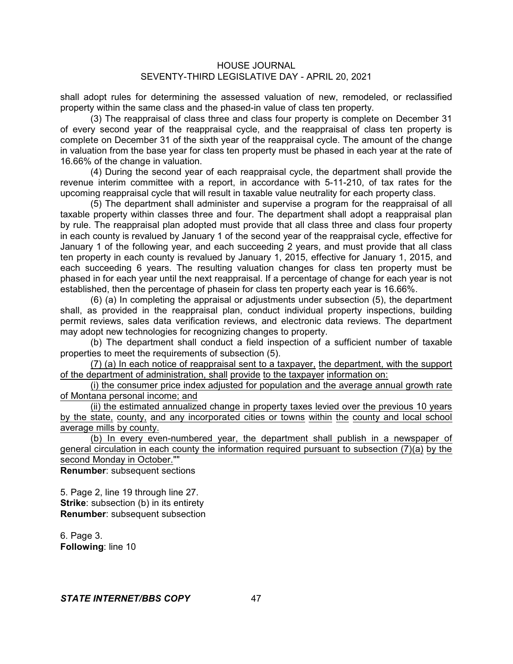shall adopt rules for determining the assessed valuation of new, remodeled, or reclassified property within the same class and the phased-in value of class ten property.

(3) The reappraisal of class three and class four property is complete on December 31 of every second year of the reappraisal cycle, and the reappraisal of class ten property is complete on December 31 of the sixth year of the reappraisal cycle. The amount of the change in valuation from the base year for class ten property must be phased in each year at the rate of 16.66% of the change in valuation.

(4) During the second year of each reappraisal cycle, the department shall provide the revenue interim committee with a report, in accordance with 5-11-210, of tax rates for the upcoming reappraisal cycle that will result in taxable value neutrality for each property class.

(5) The department shall administer and supervise a program for the reappraisal of all taxable property within classes three and four. The department shall adopt a reappraisal plan by rule. The reappraisal plan adopted must provide that all class three and class four property in each county is revalued by January 1 of the second year of the reappraisal cycle, effective for January 1 of the following year, and each succeeding 2 years, and must provide that all class ten property in each county is revalued by January 1, 2015, effective for January 1, 2015, and each succeeding 6 years. The resulting valuation changes for class ten property must be phased in for each year until the next reappraisal. If a percentage of change for each year is not established, then the percentage of phasein for class ten property each year is 16.66%.

(6) (a) In completing the appraisal or adjustments under subsection (5), the department shall, as provided in the reappraisal plan, conduct individual property inspections, building permit reviews, sales data verification reviews, and electronic data reviews. The department may adopt new technologies for recognizing changes to property.

(b) The department shall conduct a field inspection of a sufficient number of taxable properties to meet the requirements of subsection (5).

(7) (a) In each notice of reappraisal sent to a taxpayer, the department, with the support of the department of administration, shall provide to the taxpayer information on:

(i) the consumer price index adjusted for population and the average annual growth rate of Montana personal income; and

(ii) the estimated annualized change in property taxes levied over the previous 10 years by the state, county, and any incorporated cities or towns within the county and local school average mills by county.

(b) In every even-numbered year, the department shall publish in a newspaper of general circulation in each county the information required pursuant to subsection (7)(a) by the second Monday in October.""

**Renumber**: subsequent sections

5. Page 2, line 19 through line 27. **Strike:** subsection (b) in its entirety **Renumber**: subsequent subsection

6. Page 3. **Following**: line 10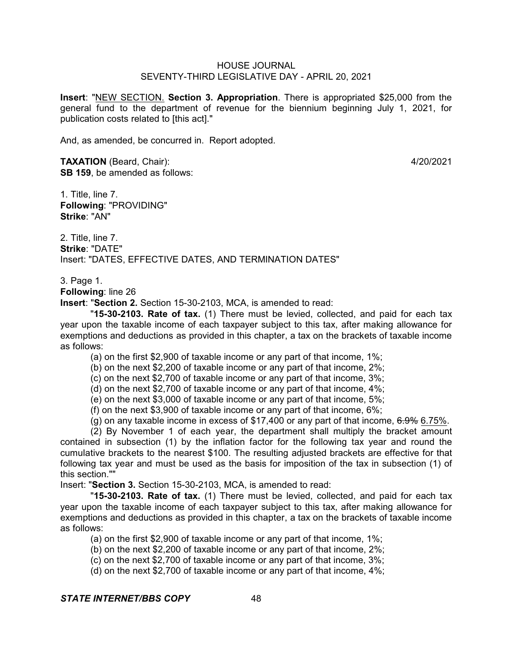**Insert**: "NEW SECTION. **Section 3. Appropriation**. There is appropriated \$25,000 from the general fund to the department of revenue for the biennium beginning July 1, 2021, for publication costs related to [this act]."

And, as amended, be concurred in. Report adopted.

**TAXATION** (Beard, Chair): 4/20/2021 **SB 159**, be amended as follows:

1. Title, line 7. **Following**: "PROVIDING" **Strike**: "AN"

2. Title, line 7. **Strike**: "DATE" Insert: "DATES, EFFECTIVE DATES, AND TERMINATION DATES"

3. Page 1.

**Following**: line 26

**Insert**: "**Section 2.** Section 15-30-2103, MCA, is amended to read:

"**15-30-2103. Rate of tax.** (1) There must be levied, collected, and paid for each tax year upon the taxable income of each taxpayer subject to this tax, after making allowance for exemptions and deductions as provided in this chapter, a tax on the brackets of taxable income as follows:

(a) on the first \$2,900 of taxable income or any part of that income, 1%;

(b) on the next \$2,200 of taxable income or any part of that income, 2%;

(c) on the next \$2,700 of taxable income or any part of that income, 3%;

(d) on the next \$2,700 of taxable income or any part of that income, 4%;

(e) on the next \$3,000 of taxable income or any part of that income, 5%;

(f) on the next \$3,900 of taxable income or any part of that income, 6%;

 $(q)$  on any taxable income in excess of \$17,400 or any part of that income,  $6.9\%$  6.75%.

(2) By November 1 of each year, the department shall multiply the bracket amount contained in subsection (1) by the inflation factor for the following tax year and round the cumulative brackets to the nearest \$100. The resulting adjusted brackets are effective for that following tax year and must be used as the basis for imposition of the tax in subsection (1) of this section.""

Insert: "**Section 3.** Section 15-30-2103, MCA, is amended to read:

"**15-30-2103. Rate of tax.** (1) There must be levied, collected, and paid for each tax year upon the taxable income of each taxpayer subject to this tax, after making allowance for exemptions and deductions as provided in this chapter, a tax on the brackets of taxable income as follows:

(a) on the first \$2,900 of taxable income or any part of that income, 1%;

(b) on the next \$2,200 of taxable income or any part of that income, 2%;

(c) on the next \$2,700 of taxable income or any part of that income, 3%;

(d) on the next \$2,700 of taxable income or any part of that income, 4%;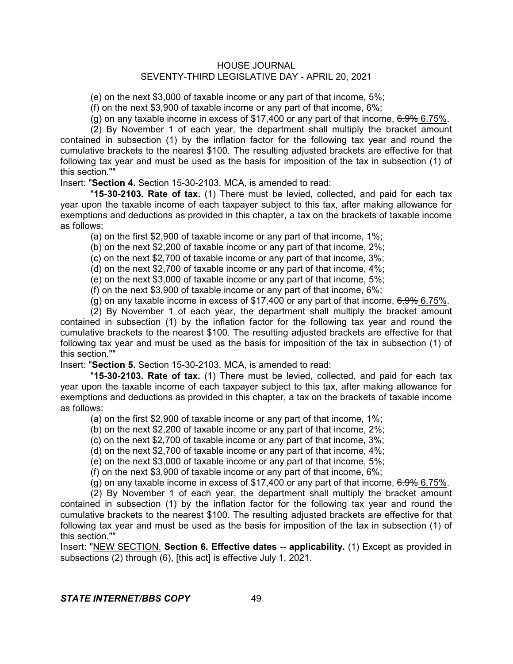(e) on the next \$3,000 of taxable income or any part of that income, 5%;

(f) on the next \$3,900 of taxable income or any part of that income, 6%;

(g) on any taxable income in excess of  $$17,400$  or any part of that income,  $6.9\%$  6.75%.

(2) By November 1 of each year, the department shall multiply the bracket amount contained in subsection (1) by the inflation factor for the following tax year and round the cumulative brackets to the nearest \$100. The resulting adjusted brackets are effective for that following tax year and must be used as the basis for imposition of the tax in subsection (1) of this section.""

Insert: "**Section 4.** Section 15-30-2103, MCA, is amended to read:

"**15-30-2103. Rate of tax.** (1) There must be levied, collected, and paid for each tax year upon the taxable income of each taxpayer subject to this tax, after making allowance for exemptions and deductions as provided in this chapter, a tax on the brackets of taxable income as follows:

(a) on the first \$2,900 of taxable income or any part of that income, 1%;

(b) on the next \$2,200 of taxable income or any part of that income, 2%;

(c) on the next \$2,700 of taxable income or any part of that income, 3%;

(d) on the next \$2,700 of taxable income or any part of that income, 4%;

(e) on the next \$3,000 of taxable income or any part of that income, 5%;

(f) on the next \$3,900 of taxable income or any part of that income, 6%;

(g) on any taxable income in excess of \$17,400 or any part of that income,  $6.9\%$  6.75%.

(2) By November 1 of each year, the department shall multiply the bracket amount contained in subsection (1) by the inflation factor for the following tax year and round the cumulative brackets to the nearest \$100. The resulting adjusted brackets are effective for that following tax year and must be used as the basis for imposition of the tax in subsection (1) of this section.""

Insert: "**Section 5.** Section 15-30-2103, MCA, is amended to read:

"**15-30-2103. Rate of tax.** (1) There must be levied, collected, and paid for each tax year upon the taxable income of each taxpayer subject to this tax, after making allowance for exemptions and deductions as provided in this chapter, a tax on the brackets of taxable income as follows:

(a) on the first \$2,900 of taxable income or any part of that income, 1%;

(b) on the next \$2,200 of taxable income or any part of that income, 2%;

(c) on the next \$2,700 of taxable income or any part of that income, 3%;

(d) on the next \$2,700 of taxable income or any part of that income, 4%;

(e) on the next \$3,000 of taxable income or any part of that income, 5%;

(f) on the next \$3,900 of taxable income or any part of that income, 6%;

(g) on any taxable income in excess of \$17,400 or any part of that income,  $6.9\%$  6.75%.

(2) By November 1 of each year, the department shall multiply the bracket amount contained in subsection (1) by the inflation factor for the following tax year and round the cumulative brackets to the nearest \$100. The resulting adjusted brackets are effective for that following tax year and must be used as the basis for imposition of the tax in subsection (1) of this section.""

Insert: "NEW SECTION. **Section 6. Effective dates -- applicability.** (1) Except as provided in subsections (2) through (6), [this act] is effective July 1, 2021.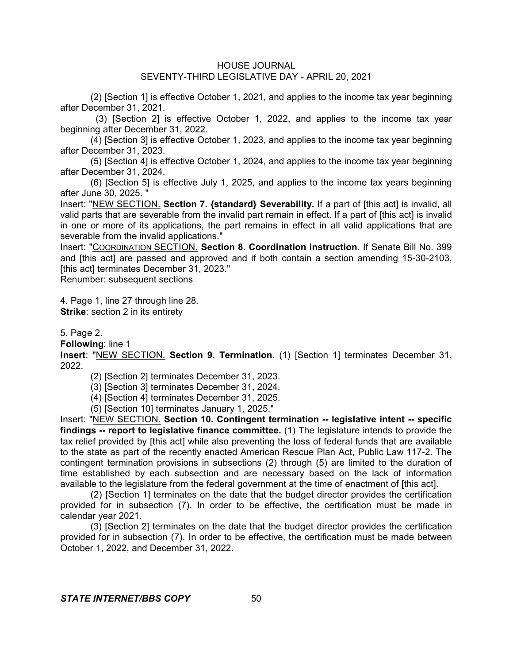(2) [Section 1] is effective October 1, 2021, and applies to the income tax year beginning after December 31, 2021.

(3) [Section 2] is effective October 1, 2022, and applies to the income tax year beginning after December 31, 2022.

(4) [Section 3] is effective October 1, 2023, and applies to the income tax year beginning after December 31, 2023.

(5) [Section 4] is effective October 1, 2024, and applies to the income tax year beginning after December 31, 2024.

(6) [Section 5] is effective July 1, 2025, and applies to the income tax years beginning after June 30, 2025. "

Insert: "NEW SECTION. **Section 7. {standard} Severability.** If a part of [this act] is invalid, all valid parts that are severable from the invalid part remain in effect. If a part of [this act] is invalid in one or more of its applications, the part remains in effect in all valid applications that are severable from the invalid applications."

Insert: "COORDINATION SECTION. **Section 8. Coordination instruction.** If Senate Bill No. 399 and [this act] are passed and approved and if both contain a section amending 15-30-2103, [this act] terminates December 31, 2023."

Renumber: subsequent sections

4. Page 1, line 27 through line 28. **Strike:** section 2 in its entirety

5. Page 2.

**Following**: line 1

**Insert**: "NEW SECTION. **Section 9. Termination.** (1) [Section 1] terminates December 31, 2022.

(2) [Section 2] terminates December 31, 2023.

(3) [Section 3] terminates December 31, 2024.

(4) [Section 4] terminates December 31, 2025.

(5) [Section 10] terminates January 1, 2025."

Insert: "NEW SECTION. **Section 10. Contingent termination -- legislative intent -- specific findings -- report to legislative finance committee.** (1) The legislature intends to provide the tax relief provided by [this act] while also preventing the loss of federal funds that are available to the state as part of the recently enacted American Rescue Plan Act, Public Law 117-2. The contingent termination provisions in subsections (2) through (5) are limited to the duration of time established by each subsection and are necessary based on the lack of information available to the legislature from the federal government at the time of enactment of [this act].

(2) [Section 1] terminates on the date that the budget director provides the certification provided for in subsection (7). In order to be effective, the certification must be made in calendar year 2021.

(3) [Section 2] terminates on the date that the budget director provides the certification provided for in subsection (7). In order to be effective, the certification must be made between October 1, 2022, and December 31, 2022.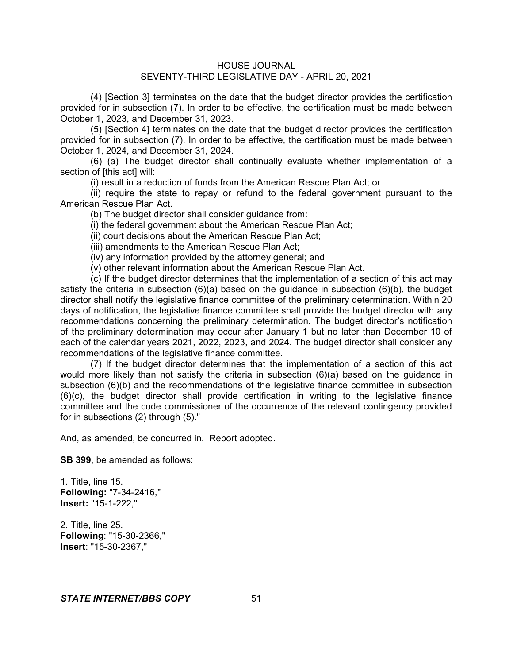(4) [Section 3] terminates on the date that the budget director provides the certification provided for in subsection (7). In order to be effective, the certification must be made between October 1, 2023, and December 31, 2023.

(5) [Section 4] terminates on the date that the budget director provides the certification provided for in subsection (7). In order to be effective, the certification must be made between October 1, 2024, and December 31, 2024.

(6) (a) The budget director shall continually evaluate whether implementation of a section of [this act] will:

(i) result in a reduction of funds from the American Rescue Plan Act; or

(ii) require the state to repay or refund to the federal government pursuant to the American Rescue Plan Act.

(b) The budget director shall consider guidance from:

(i) the federal government about the American Rescue Plan Act;

(ii) court decisions about the American Rescue Plan Act;

(iii) amendments to the American Rescue Plan Act;

(iv) any information provided by the attorney general; and

(v) other relevant information about the American Rescue Plan Act.

(c) If the budget director determines that the implementation of a section of this act may satisfy the criteria in subsection  $(6)(a)$  based on the guidance in subsection  $(6)(b)$ , the budget director shall notify the legislative finance committee of the preliminary determination. Within 20 days of notification, the legislative finance committee shall provide the budget director with any recommendations concerning the preliminary determination. The budget director's notification of the preliminary determination may occur after January 1 but no later than December 10 of each of the calendar years 2021, 2022, 2023, and 2024. The budget director shall consider any recommendations of the legislative finance committee.

(7) If the budget director determines that the implementation of a section of this act would more likely than not satisfy the criteria in subsection (6)(a) based on the guidance in subsection (6)(b) and the recommendations of the legislative finance committee in subsection (6)(c), the budget director shall provide certification in writing to the legislative finance committee and the code commissioner of the occurrence of the relevant contingency provided for in subsections (2) through (5)."

And, as amended, be concurred in. Report adopted.

**SB 399**, be amended as follows:

1. Title, line 15. **Following:** "7-34-2416," **Insert:** "15-1-222,"

2. Title, line 25. **Following**: "15-30-2366," **Insert**: "15-30-2367,"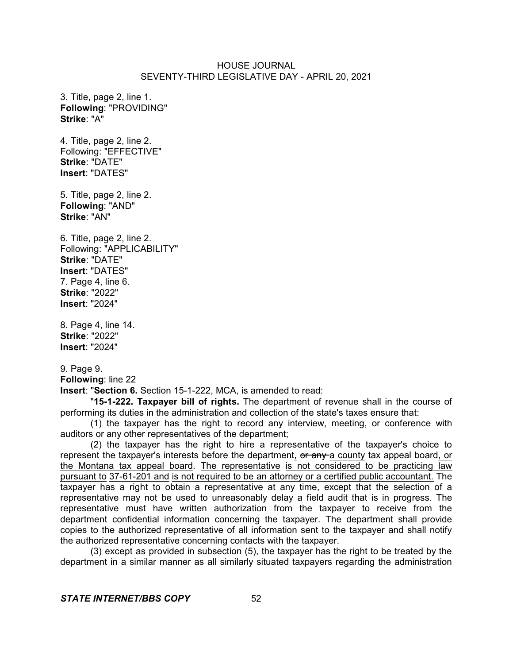3. Title, page 2, line 1. **Following**: "PROVIDING" **Strike**: "A"

4. Title, page 2, line 2. Following: "EFFECTIVE" **Strike**: "DATE" **Insert**: "DATES"

5. Title, page 2, line 2. **Following**: "AND" **Strike**: "AN"

6. Title, page 2, line 2. Following: "APPLICABILITY" **Strike**: "DATE" **Insert**: "DATES" 7. Page 4, line 6. **Strike**: "2022" **Insert**: "2024"

8. Page 4, line 14. **Strike**: "2022" **Insert**: "2024"

9. Page 9. **Following**: line 22

**Insert**: "**Section 6.** Section 15-1-222, MCA, is amended to read:

"**15-1-222. Taxpayer bill of rights.** The department of revenue shall in the course of performing its duties in the administration and collection of the state's taxes ensure that:

(1) the taxpayer has the right to record any interview, meeting, or conference with auditors or any other representatives of the department;

(2) the taxpayer has the right to hire a representative of the taxpayer's choice to represent the taxpayer's interests before the department, or any a county tax appeal board, or the Montana tax appeal board. The representative is not considered to be practicing law pursuant to 37-61-201 and is not required to be an attorney or a certified public accountant. The taxpayer has a right to obtain a representative at any time, except that the selection of a representative may not be used to unreasonably delay a field audit that is in progress. The representative must have written authorization from the taxpayer to receive from the department confidential information concerning the taxpayer. The department shall provide copies to the authorized representative of all information sent to the taxpayer and shall notify the authorized representative concerning contacts with the taxpayer.

(3) except as provided in subsection (5), the taxpayer has the right to be treated by the department in a similar manner as all similarly situated taxpayers regarding the administration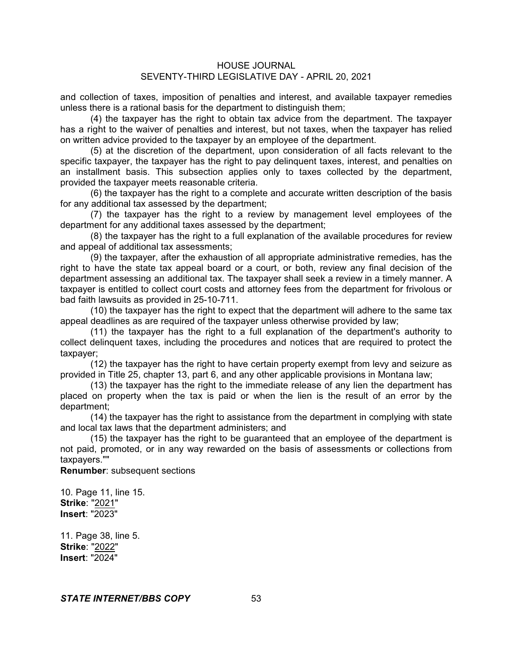and collection of taxes, imposition of penalties and interest, and available taxpayer remedies unless there is a rational basis for the department to distinguish them;

(4) the taxpayer has the right to obtain tax advice from the department. The taxpayer has a right to the waiver of penalties and interest, but not taxes, when the taxpayer has relied on written advice provided to the taxpayer by an employee of the department.

(5) at the discretion of the department, upon consideration of all facts relevant to the specific taxpayer, the taxpayer has the right to pay delinquent taxes, interest, and penalties on an installment basis. This subsection applies only to taxes collected by the department, provided the taxpayer meets reasonable criteria.

(6) the taxpayer has the right to a complete and accurate written description of the basis for any additional tax assessed by the department;

(7) the taxpayer has the right to a review by management level employees of the department for any additional taxes assessed by the department;

(8) the taxpayer has the right to a full explanation of the available procedures for review and appeal of additional tax assessments;

(9) the taxpayer, after the exhaustion of all appropriate administrative remedies, has the right to have the state tax appeal board or a court, or both, review any final decision of the department assessing an additional tax. The taxpayer shall seek a review in a timely manner. A taxpayer is entitled to collect court costs and attorney fees from the department for frivolous or bad faith lawsuits as provided in 25-10-711.

(10) the taxpayer has the right to expect that the department will adhere to the same tax appeal deadlines as are required of the taxpayer unless otherwise provided by law;

(11) the taxpayer has the right to a full explanation of the department's authority to collect delinquent taxes, including the procedures and notices that are required to protect the taxpayer;

(12) the taxpayer has the right to have certain property exempt from levy and seizure as provided in Title 25, chapter 13, part 6, and any other applicable provisions in Montana law;

(13) the taxpayer has the right to the immediate release of any lien the department has placed on property when the tax is paid or when the lien is the result of an error by the department;

(14) the taxpayer has the right to assistance from the department in complying with state and local tax laws that the department administers; and

(15) the taxpayer has the right to be guaranteed that an employee of the department is not paid, promoted, or in any way rewarded on the basis of assessments or collections from taxpayers.""

**Renumber**: subsequent sections

10. Page 11, line 15. **Strike**: "2021" **Insert**: "2023"

11. Page 38, line 5. **Strike**: "2022" **Insert**: "2024"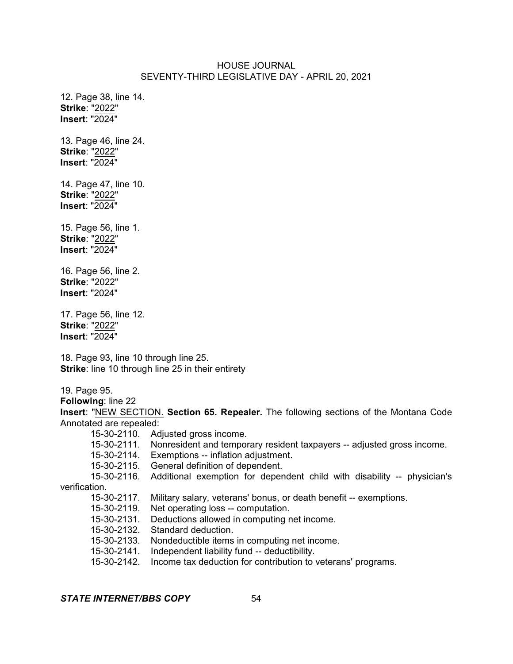12. Page 38, line 14. **Strike**: "2022" **Insert**: "2024"

13. Page 46, line 24. **Strike**: "2022" **Insert**: "2024"

14. Page 47, line 10. **Strike**: "2022" **Insert**: "2024"

15. Page 56, line 1. **Strike**: "2022" **Insert**: "2024"

16. Page 56, line 2. **Strike**: "2022" **Insert**: "2024"

17. Page 56, line 12. **Strike**: "2022" **Insert**: "2024"

18. Page 93, line 10 through line 25. **Strike**: line 10 through line 25 in their entirety

19. Page 95.

**Following**: line 22

**Insert**: "NEW SECTION. **Section 65. Repealer.** The following sections of the Montana Code Annotated are repealed:

- 15-30-2110. Adjusted gross income.
- 15-30-2111. Nonresident and temporary resident taxpayers -- adjusted gross income.

15-30-2114. Exemptions -- inflation adjustment.

15-30-2115. General definition of dependent.

15-30-2116. Additional exemption for dependent child with disability -- physician's verification.

15-30-2117. Military salary, veterans' bonus, or death benefit -- exemptions.

15-30-2119. Net operating loss -- computation.

15-30-2131. Deductions allowed in computing net income.

15-30-2132. Standard deduction.

15-30-2133. Nondeductible items in computing net income.

15-30-2141. Independent liability fund -- deductibility.

15-30-2142. Income tax deduction for contribution to veterans' programs.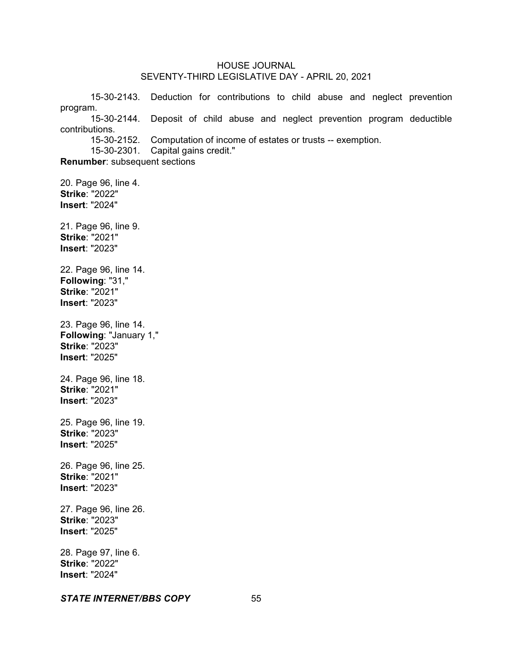15-30-2143. Deduction for contributions to child abuse and neglect prevention program. 15-30-2144. Deposit of child abuse and neglect prevention program deductible contributions. 15-30-2152. Computation of income of estates or trusts -- exemption. 15-30-2301. Capital gains credit." **Renumber**: subsequent sections 20. Page 96, line 4. **Strike**: "2022" **Insert**: "2024" 21. Page 96, line 9. **Strike**: "2021" **Insert**: "2023" 22. Page 96, line 14. **Following**: "31," **Strike**: "2021" **Insert**: "2023" 23. Page 96, line 14. **Following**: "January 1," **Strike**: "2023" **Insert**: "2025" 24. Page 96, line 18. **Strike**: "2021" **Insert**: "2023" 25. Page 96, line 19. **Strike**: "2023" **Insert**: "2025" 26. Page 96, line 25. **Strike**: "2021" **Insert**: "2023" 27. Page 96, line 26. **Strike**: "2023" **Insert**: "2025" 28. Page 97, line 6. **Strike**: "2022" **Insert**: "2024"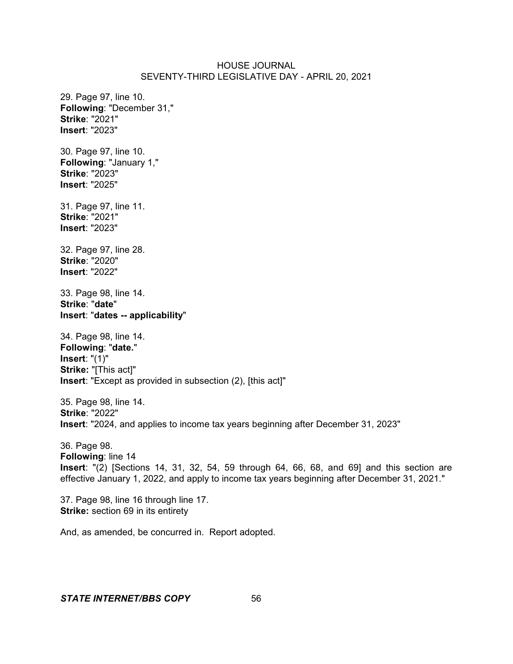29. Page 97, line 10. **Following**: "December 31," **Strike**: "2021" **Insert**: "2023" 30. Page 97, line 10. **Following**: "January 1," **Strike**: "2023" **Insert**: "2025" 31. Page 97, line 11. **Strike**: "2021" **Insert**: "2023" 32. Page 97, line 28. **Strike**: "2020" **Insert**: "2022" 33. Page 98, line 14. **Strike**: "**date**" **Insert**: "**dates -- applicability**" 34. Page 98, line 14. **Following**: "**date.**" **Insert**: "(1)" **Strike:** "[This act]" **Insert**: "Except as provided in subsection (2), [this act]" 35. Page 98, line 14. **Strike**: "2022" **Insert**: "2024, and applies to income tax years beginning after December 31, 2023" 36. Page 98.

**Following**: line 14 **Insert**: "(2) [Sections 14, 31, 32, 54, 59 through 64, 66, 68, and 69] and this section are effective January 1, 2022, and apply to income tax years beginning after December 31, 2021."

37. Page 98, line 16 through line 17. **Strike:** section 69 in its entirety

And, as amended, be concurred in. Report adopted.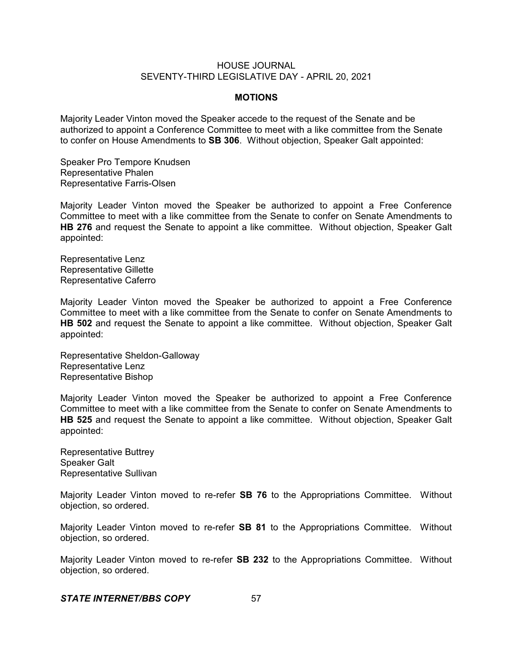#### **MOTIONS**

Majority Leader Vinton moved the Speaker accede to the request of the Senate and be authorized to appoint a Conference Committee to meet with a like committee from the Senate to confer on House Amendments to **SB 306**. Without objection, Speaker Galt appointed:

Speaker Pro Tempore Knudsen Representative Phalen Representative Farris-Olsen

Majority Leader Vinton moved the Speaker be authorized to appoint a Free Conference Committee to meet with a like committee from the Senate to confer on Senate Amendments to **HB 276** and request the Senate to appoint a like committee. Without objection, Speaker Galt appointed:

Representative Lenz Representative Gillette Representative Caferro

Majority Leader Vinton moved the Speaker be authorized to appoint a Free Conference Committee to meet with a like committee from the Senate to confer on Senate Amendments to **HB 502** and request the Senate to appoint a like committee. Without objection, Speaker Galt appointed:

Representative Sheldon-Galloway Representative Lenz Representative Bishop

Majority Leader Vinton moved the Speaker be authorized to appoint a Free Conference Committee to meet with a like committee from the Senate to confer on Senate Amendments to **HB 525** and request the Senate to appoint a like committee. Without objection, Speaker Galt appointed:

Representative Buttrey Speaker Galt Representative Sullivan

Majority Leader Vinton moved to re-refer **SB 76** to the Appropriations Committee. Without objection, so ordered.

Majority Leader Vinton moved to re-refer **SB 81** to the Appropriations Committee. Without objection, so ordered.

Majority Leader Vinton moved to re-refer **SB 232** to the Appropriations Committee. Without objection, so ordered.